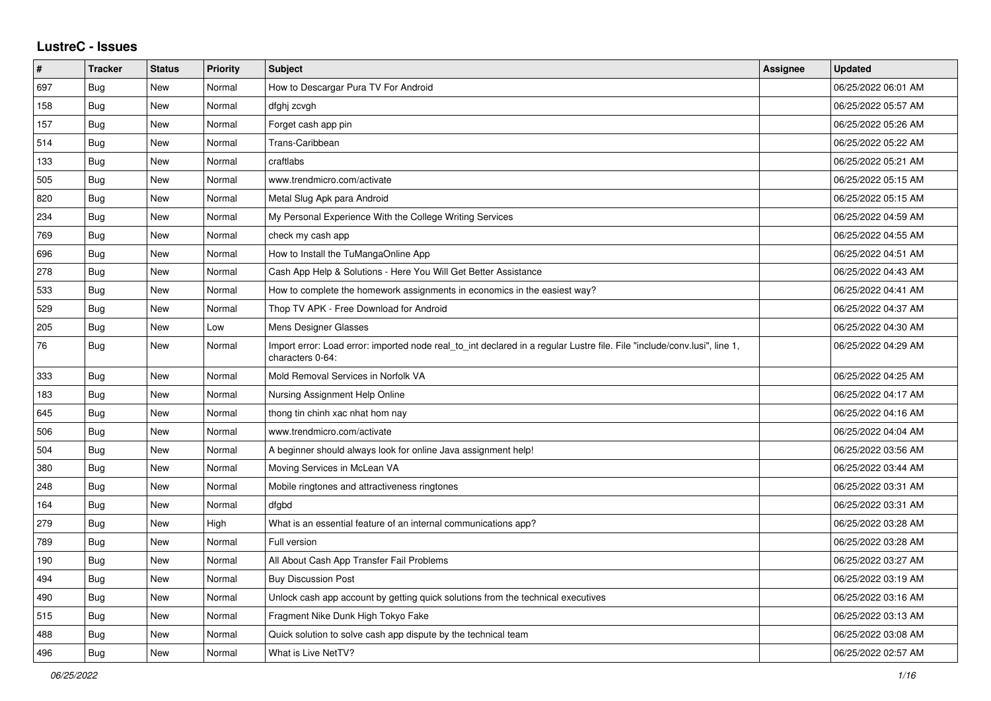## **LustreC - Issues**

| $\vert$ # | <b>Tracker</b> | <b>Status</b> | <b>Priority</b> | <b>Subject</b>                                                                                                                               | <b>Assignee</b> | <b>Updated</b>      |
|-----------|----------------|---------------|-----------------|----------------------------------------------------------------------------------------------------------------------------------------------|-----------------|---------------------|
| 697       | Bug            | New           | Normal          | How to Descargar Pura TV For Android                                                                                                         |                 | 06/25/2022 06:01 AM |
| 158       | Bug            | New           | Normal          | dfghj zcvgh                                                                                                                                  |                 | 06/25/2022 05:57 AM |
| 157       | <b>Bug</b>     | New           | Normal          | Forget cash app pin                                                                                                                          |                 | 06/25/2022 05:26 AM |
| 514       | Bug            | New           | Normal          | Trans-Caribbean                                                                                                                              |                 | 06/25/2022 05:22 AM |
| 133       | Bug            | New           | Normal          | craftlabs                                                                                                                                    |                 | 06/25/2022 05:21 AM |
| 505       | <b>Bug</b>     | <b>New</b>    | Normal          | www.trendmicro.com/activate                                                                                                                  |                 | 06/25/2022 05:15 AM |
| 820       | <b>Bug</b>     | New           | Normal          | Metal Slug Apk para Android                                                                                                                  |                 | 06/25/2022 05:15 AM |
| 234       | Bug            | New           | Normal          | My Personal Experience With the College Writing Services                                                                                     |                 | 06/25/2022 04:59 AM |
| 769       | Bug            | New           | Normal          | check my cash app                                                                                                                            |                 | 06/25/2022 04:55 AM |
| 696       | Bug            | New           | Normal          | How to Install the TuMangaOnline App                                                                                                         |                 | 06/25/2022 04:51 AM |
| 278       | Bug            | New           | Normal          | Cash App Help & Solutions - Here You Will Get Better Assistance                                                                              |                 | 06/25/2022 04:43 AM |
| 533       | Bug            | New           | Normal          | How to complete the homework assignments in economics in the easiest way?                                                                    |                 | 06/25/2022 04:41 AM |
| 529       | Bug            | <b>New</b>    | Normal          | Thop TV APK - Free Download for Android                                                                                                      |                 | 06/25/2022 04:37 AM |
| 205       | <b>Bug</b>     | New           | Low             | Mens Designer Glasses                                                                                                                        |                 | 06/25/2022 04:30 AM |
| 76        | <b>Bug</b>     | New           | Normal          | Import error: Load error: imported node real_to_int declared in a regular Lustre file. File "include/conv.lusi", line 1,<br>characters 0-64: |                 | 06/25/2022 04:29 AM |
| 333       | Bug            | New           | Normal          | Mold Removal Services in Norfolk VA                                                                                                          |                 | 06/25/2022 04:25 AM |
| 183       | Bug            | New           | Normal          | Nursing Assignment Help Online                                                                                                               |                 | 06/25/2022 04:17 AM |
| 645       | <b>Bug</b>     | New           | Normal          | thong tin chinh xac nhat hom nay                                                                                                             |                 | 06/25/2022 04:16 AM |
| 506       | <b>Bug</b>     | New           | Normal          | www.trendmicro.com/activate                                                                                                                  |                 | 06/25/2022 04:04 AM |
| 504       | <b>Bug</b>     | New           | Normal          | A beginner should always look for online Java assignment help!                                                                               |                 | 06/25/2022 03:56 AM |
| 380       | <b>Bug</b>     | New           | Normal          | Moving Services in McLean VA                                                                                                                 |                 | 06/25/2022 03:44 AM |
| 248       | <b>Bug</b>     | New           | Normal          | Mobile ringtones and attractiveness ringtones                                                                                                |                 | 06/25/2022 03:31 AM |
| 164       | Bug            | New           | Normal          | dfgbd                                                                                                                                        |                 | 06/25/2022 03:31 AM |
| 279       | Bug            | New           | High            | What is an essential feature of an internal communications app?                                                                              |                 | 06/25/2022 03:28 AM |
| 789       | <b>Bug</b>     | New           | Normal          | Full version                                                                                                                                 |                 | 06/25/2022 03:28 AM |
| 190       | Bug            | New           | Normal          | All About Cash App Transfer Fail Problems                                                                                                    |                 | 06/25/2022 03:27 AM |
| 494       | <b>Bug</b>     | New           | Normal          | <b>Buy Discussion Post</b>                                                                                                                   |                 | 06/25/2022 03:19 AM |
| 490       | <b>Bug</b>     | New           | Normal          | Unlock cash app account by getting quick solutions from the technical executives                                                             |                 | 06/25/2022 03:16 AM |
| 515       | <b>Bug</b>     | New           | Normal          | Fragment Nike Dunk High Tokyo Fake                                                                                                           |                 | 06/25/2022 03:13 AM |
| 488       | Bug            | New           | Normal          | Quick solution to solve cash app dispute by the technical team                                                                               |                 | 06/25/2022 03:08 AM |
| 496       | <b>Bug</b>     | New           | Normal          | What is Live NetTV?                                                                                                                          |                 | 06/25/2022 02:57 AM |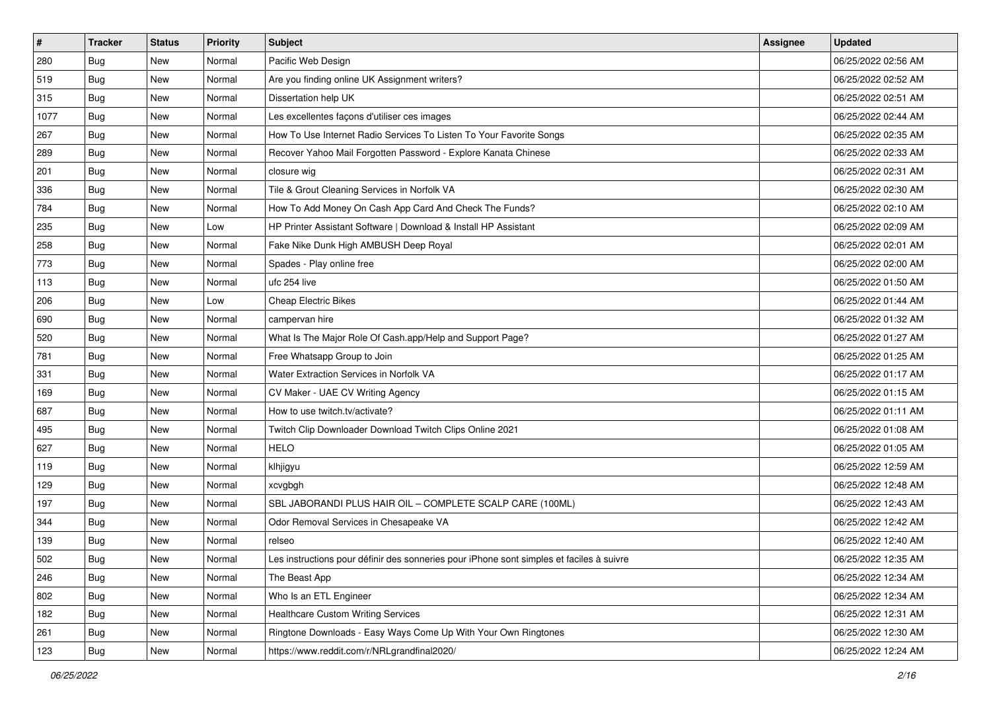| $\vert$ # | <b>Tracker</b> | <b>Status</b> | <b>Priority</b> | <b>Subject</b>                                                                           | Assignee | <b>Updated</b>      |
|-----------|----------------|---------------|-----------------|------------------------------------------------------------------------------------------|----------|---------------------|
| 280       | <b>Bug</b>     | New           | Normal          | Pacific Web Design                                                                       |          | 06/25/2022 02:56 AM |
| 519       | Bug            | New           | Normal          | Are you finding online UK Assignment writers?                                            |          | 06/25/2022 02:52 AM |
| 315       | Bug            | New           | Normal          | Dissertation help UK                                                                     |          | 06/25/2022 02:51 AM |
| 1077      | <b>Bug</b>     | New           | Normal          | Les excellentes façons d'utiliser ces images                                             |          | 06/25/2022 02:44 AM |
| 267       | Bug            | <b>New</b>    | Normal          | How To Use Internet Radio Services To Listen To Your Favorite Songs                      |          | 06/25/2022 02:35 AM |
| 289       | Bug            | New           | Normal          | Recover Yahoo Mail Forgotten Password - Explore Kanata Chinese                           |          | 06/25/2022 02:33 AM |
| 201       | <b>Bug</b>     | New           | Normal          | closure wig                                                                              |          | 06/25/2022 02:31 AM |
| 336       | <b>Bug</b>     | New           | Normal          | Tile & Grout Cleaning Services in Norfolk VA                                             |          | 06/25/2022 02:30 AM |
| 784       | <b>Bug</b>     | New           | Normal          | How To Add Money On Cash App Card And Check The Funds?                                   |          | 06/25/2022 02:10 AM |
| 235       | Bug            | <b>New</b>    | Low             | HP Printer Assistant Software   Download & Install HP Assistant                          |          | 06/25/2022 02:09 AM |
| 258       | <b>Bug</b>     | New           | Normal          | Fake Nike Dunk High AMBUSH Deep Royal                                                    |          | 06/25/2022 02:01 AM |
| 773       | Bug            | New           | Normal          | Spades - Play online free                                                                |          | 06/25/2022 02:00 AM |
| 113       | Bug            | New           | Normal          | ufc 254 live                                                                             |          | 06/25/2022 01:50 AM |
| 206       | Bug            | New           | Low             | <b>Cheap Electric Bikes</b>                                                              |          | 06/25/2022 01:44 AM |
| 690       | Bug            | New           | Normal          | campervan hire                                                                           |          | 06/25/2022 01:32 AM |
| 520       | <b>Bug</b>     | New           | Normal          | What Is The Major Role Of Cash.app/Help and Support Page?                                |          | 06/25/2022 01:27 AM |
| 781       | Bug            | New           | Normal          | Free Whatsapp Group to Join                                                              |          | 06/25/2022 01:25 AM |
| 331       | <b>Bug</b>     | <b>New</b>    | Normal          | Water Extraction Services in Norfolk VA                                                  |          | 06/25/2022 01:17 AM |
| 169       | <b>Bug</b>     | New           | Normal          | CV Maker - UAE CV Writing Agency                                                         |          | 06/25/2022 01:15 AM |
| 687       | Bug            | New           | Normal          | How to use twitch.tv/activate?                                                           |          | 06/25/2022 01:11 AM |
| 495       | <b>Bug</b>     | New           | Normal          | Twitch Clip Downloader Download Twitch Clips Online 2021                                 |          | 06/25/2022 01:08 AM |
| 627       | <b>Bug</b>     | New           | Normal          | <b>HELO</b>                                                                              |          | 06/25/2022 01:05 AM |
| 119       | Bug            | <b>New</b>    | Normal          | klhjigyu                                                                                 |          | 06/25/2022 12:59 AM |
| 129       | Bug            | New           | Normal          | xcvgbgh                                                                                  |          | 06/25/2022 12:48 AM |
| 197       | <b>Bug</b>     | New           | Normal          | SBL JABORANDI PLUS HAIR OIL - COMPLETE SCALP CARE (100ML)                                |          | 06/25/2022 12:43 AM |
| 344       | <b>Bug</b>     | New           | Normal          | Odor Removal Services in Chesapeake VA                                                   |          | 06/25/2022 12:42 AM |
| 139       | <b>Bug</b>     | New           | Normal          | relseo                                                                                   |          | 06/25/2022 12:40 AM |
| 502       | Bug            | New           | Normal          | Les instructions pour définir des sonneries pour iPhone sont simples et faciles à suivre |          | 06/25/2022 12:35 AM |
| 246       | <b>Bug</b>     | New           | Normal          | The Beast App                                                                            |          | 06/25/2022 12:34 AM |
| 802       | <b>Bug</b>     | New           | Normal          | Who Is an ETL Engineer                                                                   |          | 06/25/2022 12:34 AM |
| 182       | <b>Bug</b>     | New           | Normal          | <b>Healthcare Custom Writing Services</b>                                                |          | 06/25/2022 12:31 AM |
| 261       | <b>Bug</b>     | New           | Normal          | Ringtone Downloads - Easy Ways Come Up With Your Own Ringtones                           |          | 06/25/2022 12:30 AM |
| 123       | <b>Bug</b>     | New           | Normal          | https://www.reddit.com/r/NRLgrandfinal2020/                                              |          | 06/25/2022 12:24 AM |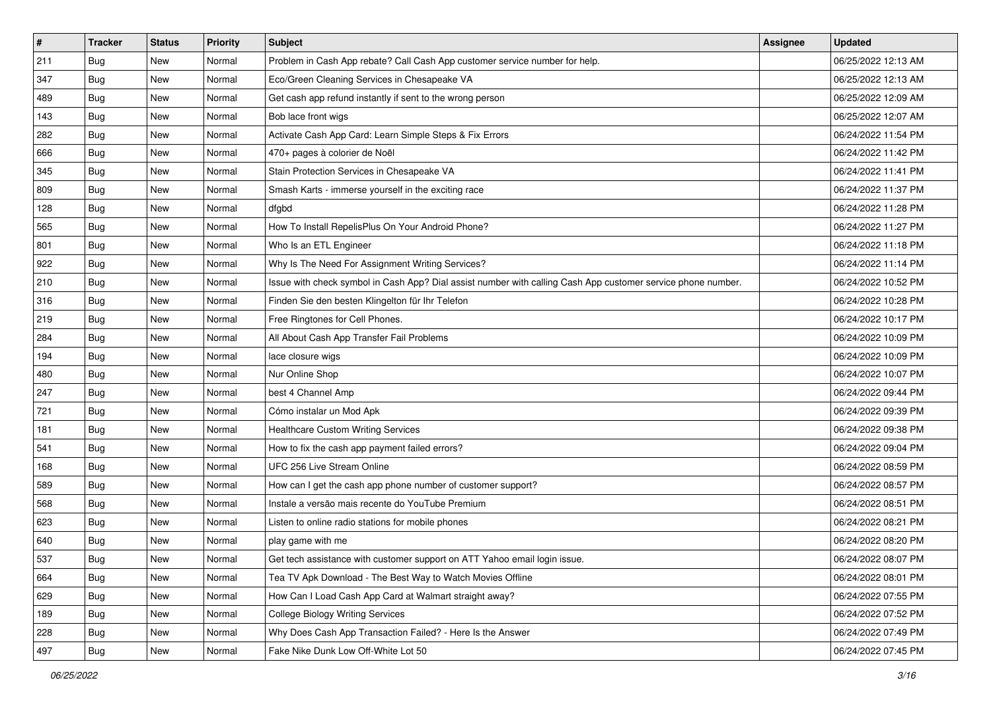| $\vert$ # | <b>Tracker</b> | <b>Status</b> | <b>Priority</b> | <b>Subject</b>                                                                                               | <b>Assignee</b> | <b>Updated</b>      |
|-----------|----------------|---------------|-----------------|--------------------------------------------------------------------------------------------------------------|-----------------|---------------------|
| 211       | <b>Bug</b>     | New           | Normal          | Problem in Cash App rebate? Call Cash App customer service number for help.                                  |                 | 06/25/2022 12:13 AM |
| 347       | Bug            | New           | Normal          | Eco/Green Cleaning Services in Chesapeake VA                                                                 |                 | 06/25/2022 12:13 AM |
| 489       | Bug            | New           | Normal          | Get cash app refund instantly if sent to the wrong person                                                    |                 | 06/25/2022 12:09 AM |
| 143       | <b>Bug</b>     | New           | Normal          | Bob lace front wigs                                                                                          |                 | 06/25/2022 12:07 AM |
| 282       | <b>Bug</b>     | New           | Normal          | Activate Cash App Card: Learn Simple Steps & Fix Errors                                                      |                 | 06/24/2022 11:54 PM |
| 666       | <b>Bug</b>     | New           | Normal          | 470+ pages à colorier de Noël                                                                                |                 | 06/24/2022 11:42 PM |
| 345       | <b>Bug</b>     | New           | Normal          | Stain Protection Services in Chesapeake VA                                                                   |                 | 06/24/2022 11:41 PM |
| 809       | <b>Bug</b>     | New           | Normal          | Smash Karts - immerse yourself in the exciting race                                                          |                 | 06/24/2022 11:37 PM |
| 128       | Bug            | New           | Normal          | dfabd                                                                                                        |                 | 06/24/2022 11:28 PM |
| 565       | <b>Bug</b>     | New           | Normal          | How To Install RepelisPlus On Your Android Phone?                                                            |                 | 06/24/2022 11:27 PM |
| 801       | <b>Bug</b>     | New           | Normal          | Who Is an ETL Engineer                                                                                       |                 | 06/24/2022 11:18 PM |
| 922       | <b>Bug</b>     | New           | Normal          | Why Is The Need For Assignment Writing Services?                                                             |                 | 06/24/2022 11:14 PM |
| 210       | Bug            | <b>New</b>    | Normal          | Issue with check symbol in Cash App? Dial assist number with calling Cash App customer service phone number. |                 | 06/24/2022 10:52 PM |
| 316       | <b>Bug</b>     | New           | Normal          | Finden Sie den besten Klingelton für Ihr Telefon                                                             |                 | 06/24/2022 10:28 PM |
| 219       | Bug            | New           | Normal          | Free Ringtones for Cell Phones.                                                                              |                 | 06/24/2022 10:17 PM |
| 284       | Bug            | New           | Normal          | All About Cash App Transfer Fail Problems                                                                    |                 | 06/24/2022 10:09 PM |
| 194       | <b>Bug</b>     | New           | Normal          | lace closure wigs                                                                                            |                 | 06/24/2022 10:09 PM |
| 480       | <b>Bug</b>     | New           | Normal          | Nur Online Shop                                                                                              |                 | 06/24/2022 10:07 PM |
| 247       | Bug            | New           | Normal          | best 4 Channel Amp                                                                                           |                 | 06/24/2022 09:44 PM |
| 721       | Bug            | New           | Normal          | Cómo instalar un Mod Apk                                                                                     |                 | 06/24/2022 09:39 PM |
| 181       | <b>Bug</b>     | New           | Normal          | <b>Healthcare Custom Writing Services</b>                                                                    |                 | 06/24/2022 09:38 PM |
| 541       | <b>Bug</b>     | New           | Normal          | How to fix the cash app payment failed errors?                                                               |                 | 06/24/2022 09:04 PM |
| 168       | <b>Bug</b>     | New           | Normal          | UFC 256 Live Stream Online                                                                                   |                 | 06/24/2022 08:59 PM |
| 589       | <b>Bug</b>     | New           | Normal          | How can I get the cash app phone number of customer support?                                                 |                 | 06/24/2022 08:57 PM |
| 568       | Bug            | New           | Normal          | Instale a versão mais recente do YouTube Premium                                                             |                 | 06/24/2022 08:51 PM |
| 623       | Bug            | <b>New</b>    | Normal          | Listen to online radio stations for mobile phones                                                            |                 | 06/24/2022 08:21 PM |
| 640       | <b>Bug</b>     | New           | Normal          | play game with me                                                                                            |                 | 06/24/2022 08:20 PM |
| 537       | Bug            | New           | Normal          | Get tech assistance with customer support on ATT Yahoo email login issue.                                    |                 | 06/24/2022 08:07 PM |
| 664       | Bug            | New           | Normal          | Tea TV Apk Download - The Best Way to Watch Movies Offline                                                   |                 | 06/24/2022 08:01 PM |
| 629       | <b>Bug</b>     | New           | Normal          | How Can I Load Cash App Card at Walmart straight away?                                                       |                 | 06/24/2022 07:55 PM |
| 189       | Bug            | New           | Normal          | <b>College Biology Writing Services</b>                                                                      |                 | 06/24/2022 07:52 PM |
| 228       | Bug            | New           | Normal          | Why Does Cash App Transaction Failed? - Here Is the Answer                                                   |                 | 06/24/2022 07:49 PM |
| 497       | <b>Bug</b>     | New           | Normal          | Fake Nike Dunk Low Off-White Lot 50                                                                          |                 | 06/24/2022 07:45 PM |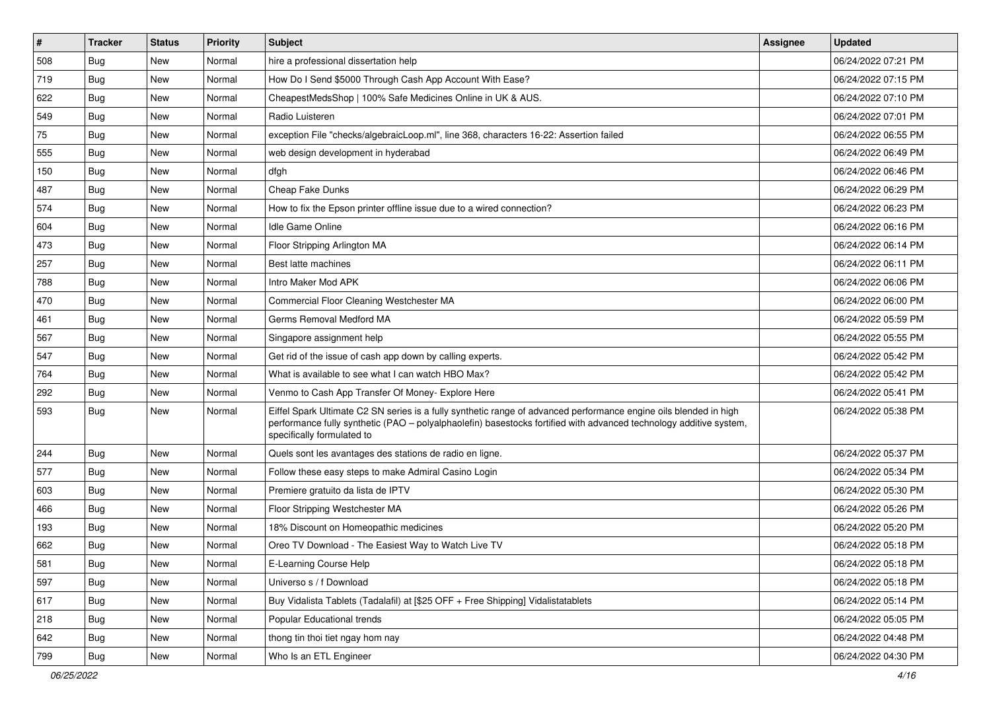| #   | <b>Tracker</b> | <b>Status</b> | Priority | Subject                                                                                                                                                                                                                                                               | Assignee | <b>Updated</b>      |
|-----|----------------|---------------|----------|-----------------------------------------------------------------------------------------------------------------------------------------------------------------------------------------------------------------------------------------------------------------------|----------|---------------------|
| 508 | <b>Bug</b>     | New           | Normal   | hire a professional dissertation help                                                                                                                                                                                                                                 |          | 06/24/2022 07:21 PM |
| 719 | Bug            | New           | Normal   | How Do I Send \$5000 Through Cash App Account With Ease?                                                                                                                                                                                                              |          | 06/24/2022 07:15 PM |
| 622 | Bug            | New           | Normal   | CheapestMedsShop   100% Safe Medicines Online in UK & AUS.                                                                                                                                                                                                            |          | 06/24/2022 07:10 PM |
| 549 | Bug            | New           | Normal   | Radio Luisteren                                                                                                                                                                                                                                                       |          | 06/24/2022 07:01 PM |
| 75  | Bug            | New           | Normal   | exception File "checks/algebraicLoop.ml", line 368, characters 16-22: Assertion failed                                                                                                                                                                                |          | 06/24/2022 06:55 PM |
| 555 | Bug            | New           | Normal   | web design development in hyderabad                                                                                                                                                                                                                                   |          | 06/24/2022 06:49 PM |
| 150 | Bug            | New           | Normal   | dfgh                                                                                                                                                                                                                                                                  |          | 06/24/2022 06:46 PM |
| 487 | Bug            | New           | Normal   | Cheap Fake Dunks                                                                                                                                                                                                                                                      |          | 06/24/2022 06:29 PM |
| 574 | Bug            | New           | Normal   | How to fix the Epson printer offline issue due to a wired connection?                                                                                                                                                                                                 |          | 06/24/2022 06:23 PM |
| 604 | Bug            | <b>New</b>    | Normal   | Idle Game Online                                                                                                                                                                                                                                                      |          | 06/24/2022 06:16 PM |
| 473 | <b>Bug</b>     | New           | Normal   | Floor Stripping Arlington MA                                                                                                                                                                                                                                          |          | 06/24/2022 06:14 PM |
| 257 | Bug            | New           | Normal   | Best latte machines                                                                                                                                                                                                                                                   |          | 06/24/2022 06:11 PM |
| 788 | Bug            | New           | Normal   | Intro Maker Mod APK                                                                                                                                                                                                                                                   |          | 06/24/2022 06:06 PM |
| 470 | Bug            | New           | Normal   | Commercial Floor Cleaning Westchester MA                                                                                                                                                                                                                              |          | 06/24/2022 06:00 PM |
| 461 | Bug            | New           | Normal   | Germs Removal Medford MA                                                                                                                                                                                                                                              |          | 06/24/2022 05:59 PM |
| 567 | Bug            | New           | Normal   | Singapore assignment help                                                                                                                                                                                                                                             |          | 06/24/2022 05:55 PM |
| 547 | Bug            | New           | Normal   | Get rid of the issue of cash app down by calling experts.                                                                                                                                                                                                             |          | 06/24/2022 05:42 PM |
| 764 | Bug            | New           | Normal   | What is available to see what I can watch HBO Max?                                                                                                                                                                                                                    |          | 06/24/2022 05:42 PM |
| 292 | Bug            | New           | Normal   | Venmo to Cash App Transfer Of Money- Explore Here                                                                                                                                                                                                                     |          | 06/24/2022 05:41 PM |
| 593 | <b>Bug</b>     | New           | Normal   | Eiffel Spark Ultimate C2 SN series is a fully synthetic range of advanced performance engine oils blended in high<br>performance fully synthetic (PAO - polyalphaolefin) basestocks fortified with advanced technology additive system,<br>specifically formulated to |          | 06/24/2022 05:38 PM |
| 244 | Bug            | New           | Normal   | Quels sont les avantages des stations de radio en ligne.                                                                                                                                                                                                              |          | 06/24/2022 05:37 PM |
| 577 | Bug            | New           | Normal   | Follow these easy steps to make Admiral Casino Login                                                                                                                                                                                                                  |          | 06/24/2022 05:34 PM |
| 603 | Bug            | New           | Normal   | Premiere gratuito da lista de IPTV                                                                                                                                                                                                                                    |          | 06/24/2022 05:30 PM |
| 466 | Bug            | New           | Normal   | Floor Stripping Westchester MA                                                                                                                                                                                                                                        |          | 06/24/2022 05:26 PM |
| 193 | <b>Bug</b>     | New           | Normal   | 18% Discount on Homeopathic medicines                                                                                                                                                                                                                                 |          | 06/24/2022 05:20 PM |
| 662 | <b>Bug</b>     | New           | Normal   | Oreo TV Download - The Easiest Way to Watch Live TV                                                                                                                                                                                                                   |          | 06/24/2022 05:18 PM |
| 581 | Bug            | New           | Normal   | E-Learning Course Help                                                                                                                                                                                                                                                |          | 06/24/2022 05:18 PM |
| 597 | Bug            | New           | Normal   | Universo s / f Download                                                                                                                                                                                                                                               |          | 06/24/2022 05:18 PM |
| 617 | Bug            | New           | Normal   | Buy Vidalista Tablets (Tadalafil) at [\$25 OFF + Free Shipping] Vidalistatablets                                                                                                                                                                                      |          | 06/24/2022 05:14 PM |
| 218 | Bug            | New           | Normal   | Popular Educational trends                                                                                                                                                                                                                                            |          | 06/24/2022 05:05 PM |
| 642 | <b>Bug</b>     | New           | Normal   | thong tin thoi tiet ngay hom nay                                                                                                                                                                                                                                      |          | 06/24/2022 04:48 PM |
| 799 | <b>Bug</b>     | New           | Normal   | Who Is an ETL Engineer                                                                                                                                                                                                                                                |          | 06/24/2022 04:30 PM |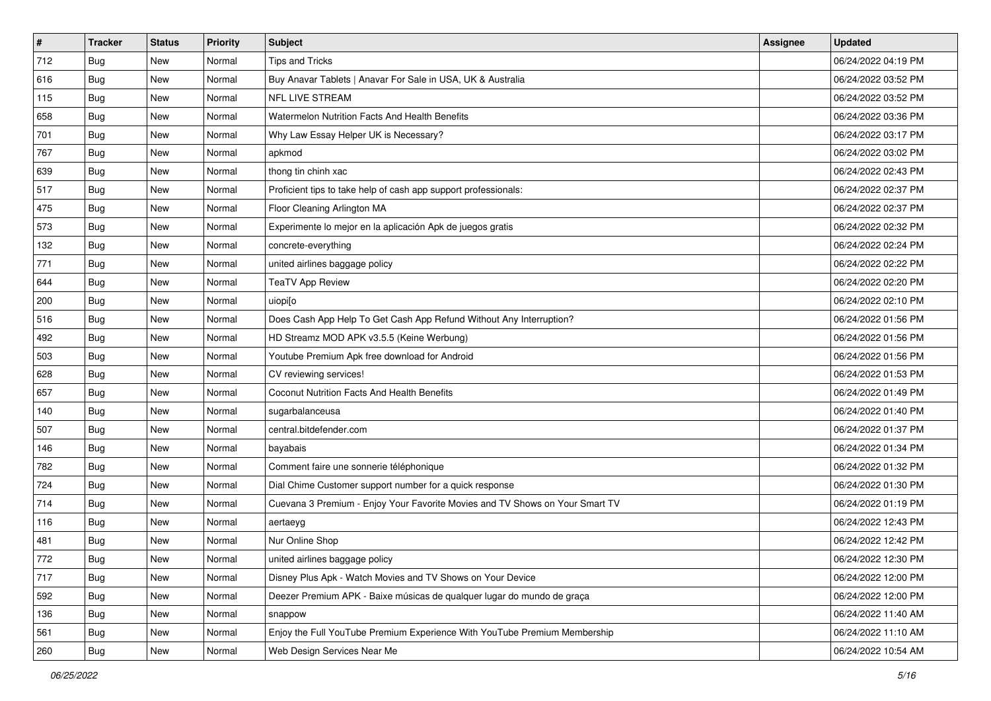| $\vert$ # | <b>Tracker</b> | <b>Status</b> | <b>Priority</b> | Subject                                                                      | Assignee | <b>Updated</b>      |
|-----------|----------------|---------------|-----------------|------------------------------------------------------------------------------|----------|---------------------|
| 712       | <b>Bug</b>     | New           | Normal          | <b>Tips and Tricks</b>                                                       |          | 06/24/2022 04:19 PM |
| 616       | <b>Bug</b>     | New           | Normal          | Buy Anavar Tablets   Anavar For Sale in USA, UK & Australia                  |          | 06/24/2022 03:52 PM |
| 115       | <b>Bug</b>     | New           | Normal          | NFL LIVE STREAM                                                              |          | 06/24/2022 03:52 PM |
| 658       | <b>Bug</b>     | New           | Normal          | Watermelon Nutrition Facts And Health Benefits                               |          | 06/24/2022 03:36 PM |
| 701       | Bug            | <b>New</b>    | Normal          | Why Law Essay Helper UK is Necessary?                                        |          | 06/24/2022 03:17 PM |
| 767       | <b>Bug</b>     | New           | Normal          | apkmod                                                                       |          | 06/24/2022 03:02 PM |
| 639       | <b>Bug</b>     | New           | Normal          | thong tin chinh xac                                                          |          | 06/24/2022 02:43 PM |
| 517       | <b>Bug</b>     | New           | Normal          | Proficient tips to take help of cash app support professionals:              |          | 06/24/2022 02:37 PM |
| 475       | Bug            | New           | Normal          | Floor Cleaning Arlington MA                                                  |          | 06/24/2022 02:37 PM |
| 573       | Bug            | New           | Normal          | Experimente lo mejor en la aplicación Apk de juegos gratis                   |          | 06/24/2022 02:32 PM |
| 132       | <b>Bug</b>     | New           | Normal          | concrete-everything                                                          |          | 06/24/2022 02:24 PM |
| 771       | <b>Bug</b>     | New           | Normal          | united airlines baggage policy                                               |          | 06/24/2022 02:22 PM |
| 644       | Bug            | New           | Normal          | <b>TeaTV App Review</b>                                                      |          | 06/24/2022 02:20 PM |
| 200       | <b>Bug</b>     | New           | Normal          | uiopi[o                                                                      |          | 06/24/2022 02:10 PM |
| 516       | <b>Bug</b>     | New           | Normal          | Does Cash App Help To Get Cash App Refund Without Any Interruption?          |          | 06/24/2022 01:56 PM |
| 492       | <b>Bug</b>     | New           | Normal          | HD Streamz MOD APK v3.5.5 (Keine Werbung)                                    |          | 06/24/2022 01:56 PM |
| 503       | <b>Bug</b>     | New           | Normal          | Youtube Premium Apk free download for Android                                |          | 06/24/2022 01:56 PM |
| 628       | <b>Bug</b>     | <b>New</b>    | Normal          | CV reviewing services!                                                       |          | 06/24/2022 01:53 PM |
| 657       | Bug            | New           | Normal          | Coconut Nutrition Facts And Health Benefits                                  |          | 06/24/2022 01:49 PM |
| 140       | <b>Bug</b>     | New           | Normal          | sugarbalanceusa                                                              |          | 06/24/2022 01:40 PM |
| 507       | <b>Bug</b>     | New           | Normal          | central.bitdefender.com                                                      |          | 06/24/2022 01:37 PM |
| 146       | <b>Bug</b>     | New           | Normal          | bayabais                                                                     |          | 06/24/2022 01:34 PM |
| 782       | Bug            | <b>New</b>    | Normal          | Comment faire une sonnerie téléphonique                                      |          | 06/24/2022 01:32 PM |
| 724       | <b>Bug</b>     | New           | Normal          | Dial Chime Customer support number for a quick response                      |          | 06/24/2022 01:30 PM |
| 714       | Bug            | New           | Normal          | Cuevana 3 Premium - Enjoy Your Favorite Movies and TV Shows on Your Smart TV |          | 06/24/2022 01:19 PM |
| 116       | Bug            | New           | Normal          | aertaeyg                                                                     |          | 06/24/2022 12:43 PM |
| 481       | <b>Bug</b>     | New           | Normal          | Nur Online Shop                                                              |          | 06/24/2022 12:42 PM |
| 772       | I Bug          | New           | Normal          | united airlines baggage policy                                               |          | 06/24/2022 12:30 PM |
| 717       | Bug            | New           | Normal          | Disney Plus Apk - Watch Movies and TV Shows on Your Device                   |          | 06/24/2022 12:00 PM |
| 592       | Bug            | New           | Normal          | Deezer Premium APK - Baixe músicas de qualquer lugar do mundo de graça       |          | 06/24/2022 12:00 PM |
| 136       | <b>Bug</b>     | New           | Normal          | snappow                                                                      |          | 06/24/2022 11:40 AM |
| 561       | <b>Bug</b>     | <b>New</b>    | Normal          | Enjoy the Full YouTube Premium Experience With YouTube Premium Membership    |          | 06/24/2022 11:10 AM |
| 260       | <b>Bug</b>     | New           | Normal          | Web Design Services Near Me                                                  |          | 06/24/2022 10:54 AM |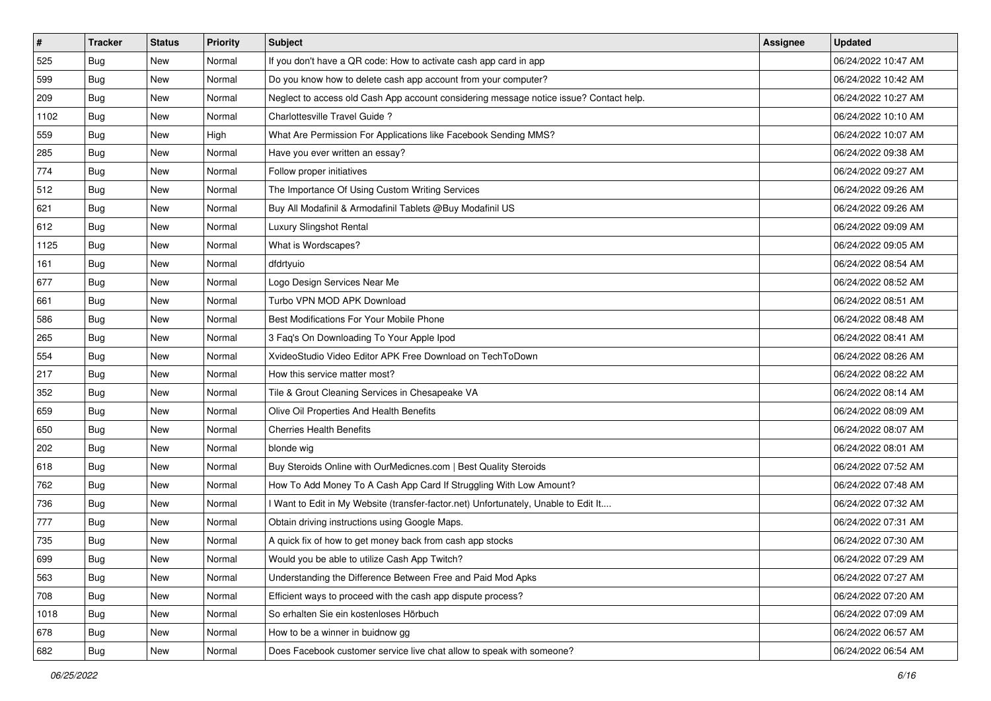| #    | <b>Tracker</b> | <b>Status</b> | <b>Priority</b> | <b>Subject</b>                                                                         | <b>Assignee</b> | <b>Updated</b>      |
|------|----------------|---------------|-----------------|----------------------------------------------------------------------------------------|-----------------|---------------------|
| 525  | <b>Bug</b>     | New           | Normal          | If you don't have a QR code: How to activate cash app card in app                      |                 | 06/24/2022 10:47 AM |
| 599  | Bug            | New           | Normal          | Do you know how to delete cash app account from your computer?                         |                 | 06/24/2022 10:42 AM |
| 209  | <b>Bug</b>     | New           | Normal          | Neglect to access old Cash App account considering message notice issue? Contact help. |                 | 06/24/2022 10:27 AM |
| 1102 | <b>Bug</b>     | New           | Normal          | Charlottesville Travel Guide?                                                          |                 | 06/24/2022 10:10 AM |
| 559  | Bug            | New           | High            | What Are Permission For Applications like Facebook Sending MMS?                        |                 | 06/24/2022 10:07 AM |
| 285  | <b>Bug</b>     | New           | Normal          | Have you ever written an essay?                                                        |                 | 06/24/2022 09:38 AM |
| 774  | <b>Bug</b>     | New           | Normal          | Follow proper initiatives                                                              |                 | 06/24/2022 09:27 AM |
| 512  | <b>Bug</b>     | New           | Normal          | The Importance Of Using Custom Writing Services                                        |                 | 06/24/2022 09:26 AM |
| 621  | Bug            | New           | Normal          | Buy All Modafinil & Armodafinil Tablets @Buy Modafinil US                              |                 | 06/24/2022 09:26 AM |
| 612  | Bug            | New           | Normal          | Luxury Slingshot Rental                                                                |                 | 06/24/2022 09:09 AM |
| 1125 | <b>Bug</b>     | New           | Normal          | What is Wordscapes?                                                                    |                 | 06/24/2022 09:05 AM |
| 161  | Bug            | New           | Normal          | dfdrtyuio                                                                              |                 | 06/24/2022 08:54 AM |
| 677  | Bug            | New           | Normal          | Logo Design Services Near Me                                                           |                 | 06/24/2022 08:52 AM |
| 661  | <b>Bug</b>     | New           | Normal          | Turbo VPN MOD APK Download                                                             |                 | 06/24/2022 08:51 AM |
| 586  | <b>Bug</b>     | New           | Normal          | Best Modifications For Your Mobile Phone                                               |                 | 06/24/2022 08:48 AM |
| 265  | Bug            | New           | Normal          | 3 Faq's On Downloading To Your Apple Ipod                                              |                 | 06/24/2022 08:41 AM |
| 554  | <b>Bug</b>     | New           | Normal          | XvideoStudio Video Editor APK Free Download on TechToDown                              |                 | 06/24/2022 08:26 AM |
| 217  | Bug            | <b>New</b>    | Normal          | How this service matter most?                                                          |                 | 06/24/2022 08:22 AM |
| 352  | <b>Bug</b>     | New           | Normal          | Tile & Grout Cleaning Services in Chesapeake VA                                        |                 | 06/24/2022 08:14 AM |
| 659  | <b>Bug</b>     | New           | Normal          | Olive Oil Properties And Health Benefits                                               |                 | 06/24/2022 08:09 AM |
| 650  | <b>Bug</b>     | New           | Normal          | <b>Cherries Health Benefits</b>                                                        |                 | 06/24/2022 08:07 AM |
| 202  | Bug            | New           | Normal          | blonde wig                                                                             |                 | 06/24/2022 08:01 AM |
| 618  | Bug            | New           | Normal          | Buy Steroids Online with OurMedicnes.com   Best Quality Steroids                       |                 | 06/24/2022 07:52 AM |
| 762  | <b>Bug</b>     | New           | Normal          | How To Add Money To A Cash App Card If Struggling With Low Amount?                     |                 | 06/24/2022 07:48 AM |
| 736  | Bug            | New           | Normal          | I Want to Edit in My Website (transfer-factor.net) Unfortunately, Unable to Edit It    |                 | 06/24/2022 07:32 AM |
| 777  | <b>Bug</b>     | New           | Normal          | Obtain driving instructions using Google Maps.                                         |                 | 06/24/2022 07:31 AM |
| 735  | <b>Bug</b>     | New           | Normal          | A quick fix of how to get money back from cash app stocks                              |                 | 06/24/2022 07:30 AM |
| 699  | Bug            | New           | Normal          | Would you be able to utilize Cash App Twitch?                                          |                 | 06/24/2022 07:29 AM |
| 563  | Bug            | New           | Normal          | Understanding the Difference Between Free and Paid Mod Apks                            |                 | 06/24/2022 07:27 AM |
| 708  | <b>Bug</b>     | New           | Normal          | Efficient ways to proceed with the cash app dispute process?                           |                 | 06/24/2022 07:20 AM |
| 1018 | Bug            | <b>New</b>    | Normal          | So erhalten Sie ein kostenloses Hörbuch                                                |                 | 06/24/2022 07:09 AM |
| 678  | Bug            | New           | Normal          | How to be a winner in buidnow gg                                                       |                 | 06/24/2022 06:57 AM |
| 682  | <b>Bug</b>     | New           | Normal          | Does Facebook customer service live chat allow to speak with someone?                  |                 | 06/24/2022 06:54 AM |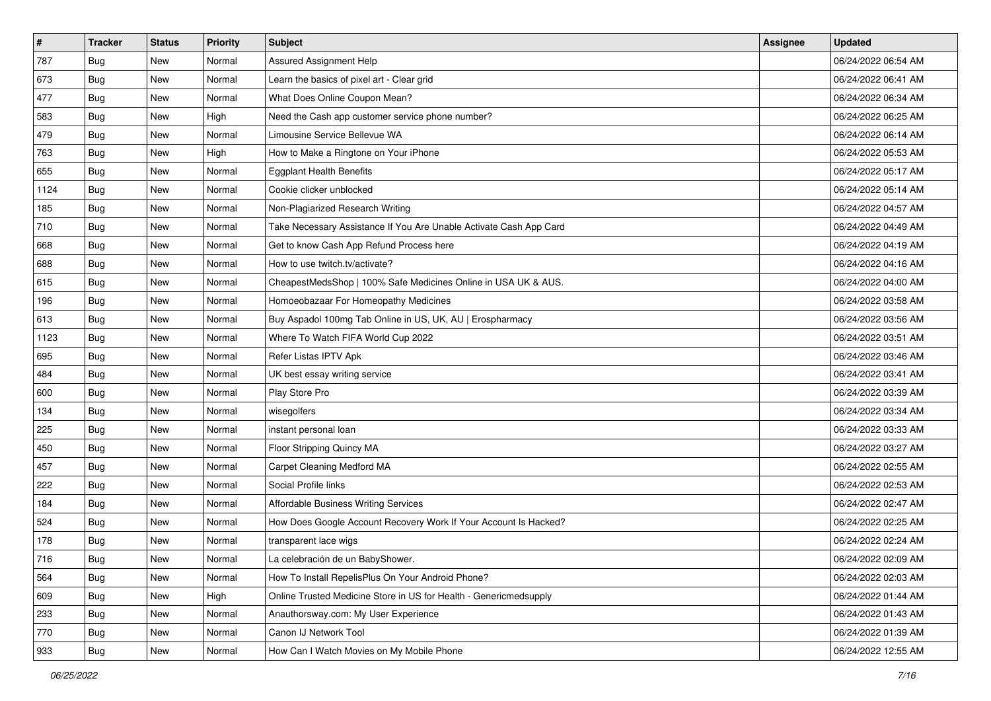| $\vert$ # | <b>Tracker</b> | <b>Status</b> | Priority | Subject                                                            | Assignee | <b>Updated</b>      |
|-----------|----------------|---------------|----------|--------------------------------------------------------------------|----------|---------------------|
| 787       | <b>Bug</b>     | New           | Normal   | Assured Assignment Help                                            |          | 06/24/2022 06:54 AM |
| 673       | <b>Bug</b>     | New           | Normal   | Learn the basics of pixel art - Clear grid                         |          | 06/24/2022 06:41 AM |
| 477       | Bug            | New           | Normal   | What Does Online Coupon Mean?                                      |          | 06/24/2022 06:34 AM |
| 583       | <b>Bug</b>     | New           | High     | Need the Cash app customer service phone number?                   |          | 06/24/2022 06:25 AM |
| 479       | Bug            | New           | Normal   | Limousine Service Bellevue WA                                      |          | 06/24/2022 06:14 AM |
| 763       | <b>Bug</b>     | New           | High     | How to Make a Ringtone on Your iPhone                              |          | 06/24/2022 05:53 AM |
| 655       | Bug            | New           | Normal   | <b>Eggplant Health Benefits</b>                                    |          | 06/24/2022 05:17 AM |
| 1124      | Bug            | New           | Normal   | Cookie clicker unblocked                                           |          | 06/24/2022 05:14 AM |
| 185       | Bug            | New           | Normal   | Non-Plagiarized Research Writing                                   |          | 06/24/2022 04:57 AM |
| 710       | Bug            | New           | Normal   | Take Necessary Assistance If You Are Unable Activate Cash App Card |          | 06/24/2022 04:49 AM |
| 668       | <b>Bug</b>     | New           | Normal   | Get to know Cash App Refund Process here                           |          | 06/24/2022 04:19 AM |
| 688       | Bug            | New           | Normal   | How to use twitch.tv/activate?                                     |          | 06/24/2022 04:16 AM |
| 615       | Bug            | New           | Normal   | CheapestMedsShop   100% Safe Medicines Online in USA UK & AUS.     |          | 06/24/2022 04:00 AM |
| 196       | Bug            | New           | Normal   | Homoeobazaar For Homeopathy Medicines                              |          | 06/24/2022 03:58 AM |
| 613       | Bug            | <b>New</b>    | Normal   | Buy Aspadol 100mg Tab Online in US, UK, AU   Erospharmacy          |          | 06/24/2022 03:56 AM |
| 1123      | Bug            | New           | Normal   | Where To Watch FIFA World Cup 2022                                 |          | 06/24/2022 03:51 AM |
| 695       | Bug            | New           | Normal   | Refer Listas IPTV Apk                                              |          | 06/24/2022 03:46 AM |
| 484       | Bug            | New           | Normal   | UK best essay writing service                                      |          | 06/24/2022 03:41 AM |
| 600       | Bug            | New           | Normal   | Play Store Pro                                                     |          | 06/24/2022 03:39 AM |
| 134       | Bug            | New           | Normal   | wisegolfers                                                        |          | 06/24/2022 03:34 AM |
| 225       | <b>Bug</b>     | New           | Normal   | instant personal loan                                              |          | 06/24/2022 03:33 AM |
| 450       | Bug            | New           | Normal   | Floor Stripping Quincy MA                                          |          | 06/24/2022 03:27 AM |
| 457       | Bug            | New           | Normal   | Carpet Cleaning Medford MA                                         |          | 06/24/2022 02:55 AM |
| 222       | <b>Bug</b>     | New           | Normal   | Social Profile links                                               |          | 06/24/2022 02:53 AM |
| 184       | Bug            | New           | Normal   | Affordable Business Writing Services                               |          | 06/24/2022 02:47 AM |
| 524       | Bug            | New           | Normal   | How Does Google Account Recovery Work If Your Account Is Hacked?   |          | 06/24/2022 02:25 AM |
| 178       | <b>Bug</b>     | New           | Normal   | transparent lace wigs                                              |          | 06/24/2022 02:24 AM |
| 716       | <b>Bug</b>     | New           | Normal   | La celebración de un BabyShower.                                   |          | 06/24/2022 02:09 AM |
| 564       | <b>Bug</b>     | New           | Normal   | How To Install RepelisPlus On Your Android Phone?                  |          | 06/24/2022 02:03 AM |
| 609       | <b>Bug</b>     | New           | High     | Online Trusted Medicine Store in US for Health - Genericmedsupply  |          | 06/24/2022 01:44 AM |
| 233       | <b>Bug</b>     | New           | Normal   | Anauthorsway.com: My User Experience                               |          | 06/24/2022 01:43 AM |
| 770       | Bug            | New           | Normal   | Canon IJ Network Tool                                              |          | 06/24/2022 01:39 AM |
| 933       | <b>Bug</b>     | New           | Normal   | How Can I Watch Movies on My Mobile Phone                          |          | 06/24/2022 12:55 AM |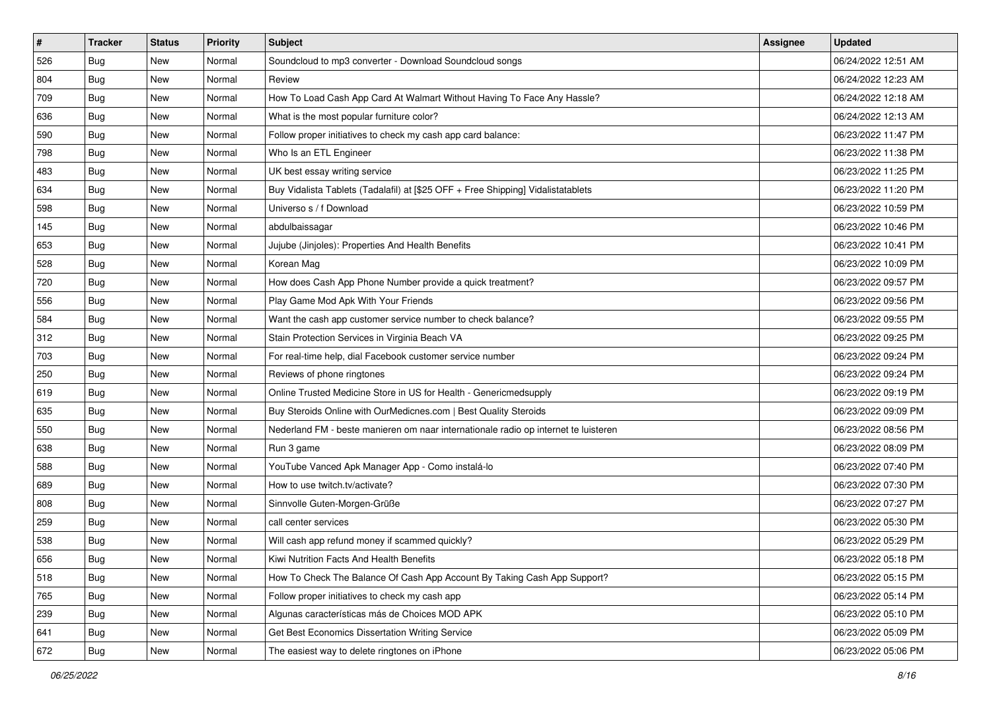| #   | <b>Tracker</b> | <b>Status</b> | <b>Priority</b> | <b>Subject</b>                                                                      | <b>Assignee</b> | <b>Updated</b>      |
|-----|----------------|---------------|-----------------|-------------------------------------------------------------------------------------|-----------------|---------------------|
| 526 | <b>Bug</b>     | New           | Normal          | Soundcloud to mp3 converter - Download Soundcloud songs                             |                 | 06/24/2022 12:51 AM |
| 804 | <b>Bug</b>     | New           | Normal          | Review                                                                              |                 | 06/24/2022 12:23 AM |
| 709 | <b>Bug</b>     | New           | Normal          | How To Load Cash App Card At Walmart Without Having To Face Any Hassle?             |                 | 06/24/2022 12:18 AM |
| 636 | <b>Bug</b>     | New           | Normal          | What is the most popular furniture color?                                           |                 | 06/24/2022 12:13 AM |
| 590 | Bug            | <b>New</b>    | Normal          | Follow proper initiatives to check my cash app card balance:                        |                 | 06/23/2022 11:47 PM |
| 798 | Bug            | New           | Normal          | Who Is an ETL Engineer                                                              |                 | 06/23/2022 11:38 PM |
| 483 | <b>Bug</b>     | New           | Normal          | UK best essay writing service                                                       |                 | 06/23/2022 11:25 PM |
| 634 | <b>Bug</b>     | New           | Normal          | Buy Vidalista Tablets (Tadalafil) at [\$25 OFF + Free Shipping] Vidalistatablets    |                 | 06/23/2022 11:20 PM |
| 598 | <b>Bug</b>     | New           | Normal          | Universo s / f Download                                                             |                 | 06/23/2022 10:59 PM |
| 145 | Bug            | New           | Normal          | abdulbaissagar                                                                      |                 | 06/23/2022 10:46 PM |
| 653 | <b>Bug</b>     | New           | Normal          | Jujube (Jinjoles): Properties And Health Benefits                                   |                 | 06/23/2022 10:41 PM |
| 528 | Bug            | New           | Normal          | Korean Mag                                                                          |                 | 06/23/2022 10:09 PM |
| 720 | Bug            | New           | Normal          | How does Cash App Phone Number provide a quick treatment?                           |                 | 06/23/2022 09:57 PM |
| 556 | <b>Bug</b>     | New           | Normal          | Play Game Mod Apk With Your Friends                                                 |                 | 06/23/2022 09:56 PM |
| 584 | <b>Bug</b>     | New           | Normal          | Want the cash app customer service number to check balance?                         |                 | 06/23/2022 09:55 PM |
| 312 | Bug            | New           | Normal          | Stain Protection Services in Virginia Beach VA                                      |                 | 06/23/2022 09:25 PM |
| 703 | <b>Bug</b>     | New           | Normal          | For real-time help, dial Facebook customer service number                           |                 | 06/23/2022 09:24 PM |
| 250 | <b>Bug</b>     | New           | Normal          | Reviews of phone ringtones                                                          |                 | 06/23/2022 09:24 PM |
| 619 | Bug            | New           | Normal          | Online Trusted Medicine Store in US for Health - Genericmedsupply                   |                 | 06/23/2022 09:19 PM |
| 635 | <b>Bug</b>     | New           | Normal          | Buy Steroids Online with OurMedicnes.com   Best Quality Steroids                    |                 | 06/23/2022 09:09 PM |
| 550 | <b>Bug</b>     | New           | Normal          | Nederland FM - beste manieren om naar internationale radio op internet te luisteren |                 | 06/23/2022 08:56 PM |
| 638 | <b>Bug</b>     | New           | Normal          | Run 3 game                                                                          |                 | 06/23/2022 08:09 PM |
| 588 | Bug            | <b>New</b>    | Normal          | YouTube Vanced Apk Manager App - Como instalá-lo                                    |                 | 06/23/2022 07:40 PM |
| 689 | <b>Bug</b>     | New           | Normal          | How to use twitch.tv/activate?                                                      |                 | 06/23/2022 07:30 PM |
| 808 | Bug            | New           | Normal          | Sinnvolle Guten-Morgen-Grüße                                                        |                 | 06/23/2022 07:27 PM |
| 259 | Bug            | New           | Normal          | call center services                                                                |                 | 06/23/2022 05:30 PM |
| 538 | <b>Bug</b>     | New           | Normal          | Will cash app refund money if scammed quickly?                                      |                 | 06/23/2022 05:29 PM |
| 656 | I Bug          | New           | Normal          | Kiwi Nutrition Facts And Health Benefits                                            |                 | 06/23/2022 05:18 PM |
| 518 | Bug            | New           | Normal          | How To Check The Balance Of Cash App Account By Taking Cash App Support?            |                 | 06/23/2022 05:15 PM |
| 765 | Bug            | New           | Normal          | Follow proper initiatives to check my cash app                                      |                 | 06/23/2022 05:14 PM |
| 239 | <b>Bug</b>     | New           | Normal          | Algunas características más de Choices MOD APK                                      |                 | 06/23/2022 05:10 PM |
| 641 | <b>Bug</b>     | New           | Normal          | Get Best Economics Dissertation Writing Service                                     |                 | 06/23/2022 05:09 PM |
| 672 | <b>Bug</b>     | New           | Normal          | The easiest way to delete ringtones on iPhone                                       |                 | 06/23/2022 05:06 PM |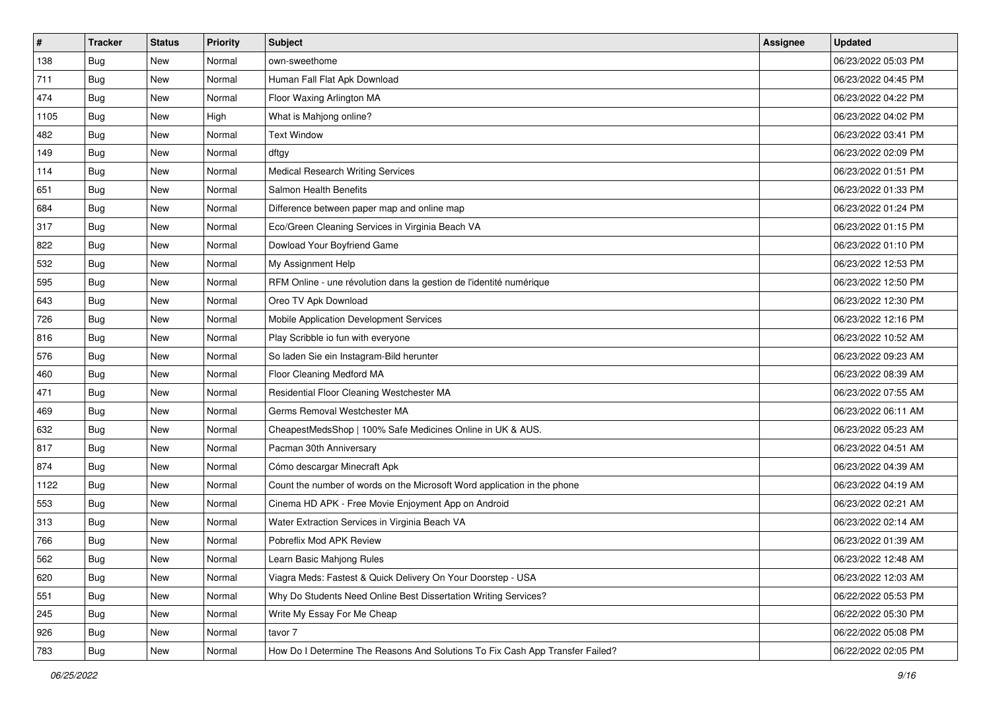| $\vert$ # | <b>Tracker</b> | <b>Status</b> | <b>Priority</b> | Subject                                                                       | <b>Assignee</b> | <b>Updated</b>      |
|-----------|----------------|---------------|-----------------|-------------------------------------------------------------------------------|-----------------|---------------------|
| 138       | <b>Bug</b>     | New           | Normal          | own-sweethome                                                                 |                 | 06/23/2022 05:03 PM |
| 711       | Bug            | New           | Normal          | Human Fall Flat Apk Download                                                  |                 | 06/23/2022 04:45 PM |
| 474       | Bug            | New           | Normal          | Floor Waxing Arlington MA                                                     |                 | 06/23/2022 04:22 PM |
| 1105      | <b>Bug</b>     | New           | High            | What is Mahjong online?                                                       |                 | 06/23/2022 04:02 PM |
| 482       | Bug            | <b>New</b>    | Normal          | <b>Text Window</b>                                                            |                 | 06/23/2022 03:41 PM |
| 149       | <b>Bug</b>     | New           | Normal          | dftgy                                                                         |                 | 06/23/2022 02:09 PM |
| 114       | <b>Bug</b>     | New           | Normal          | <b>Medical Research Writing Services</b>                                      |                 | 06/23/2022 01:51 PM |
| 651       | <b>Bug</b>     | New           | Normal          | Salmon Health Benefits                                                        |                 | 06/23/2022 01:33 PM |
| 684       | <b>Bug</b>     | New           | Normal          | Difference between paper map and online map                                   |                 | 06/23/2022 01:24 PM |
| 317       | Bug            | New           | Normal          | Eco/Green Cleaning Services in Virginia Beach VA                              |                 | 06/23/2022 01:15 PM |
| 822       | <b>Bug</b>     | New           | Normal          | Dowload Your Boyfriend Game                                                   |                 | 06/23/2022 01:10 PM |
| 532       | Bug            | New           | Normal          | My Assignment Help                                                            |                 | 06/23/2022 12:53 PM |
| 595       | Bug            | New           | Normal          | RFM Online - une révolution dans la gestion de l'identité numérique           |                 | 06/23/2022 12:50 PM |
| 643       | <b>Bug</b>     | New           | Normal          | Oreo TV Apk Download                                                          |                 | 06/23/2022 12:30 PM |
| 726       | <b>Bug</b>     | New           | Normal          | Mobile Application Development Services                                       |                 | 06/23/2022 12:16 PM |
| 816       | <b>Bug</b>     | New           | Normal          | Play Scribble io fun with everyone                                            |                 | 06/23/2022 10:52 AM |
| 576       | <b>Bug</b>     | New           | Normal          | So laden Sie ein Instagram-Bild herunter                                      |                 | 06/23/2022 09:23 AM |
| 460       | <b>Bug</b>     | <b>New</b>    | Normal          | Floor Cleaning Medford MA                                                     |                 | 06/23/2022 08:39 AM |
| 471       | Bug            | New           | Normal          | Residential Floor Cleaning Westchester MA                                     |                 | 06/23/2022 07:55 AM |
| 469       | <b>Bug</b>     | New           | Normal          | Germs Removal Westchester MA                                                  |                 | 06/23/2022 06:11 AM |
| 632       | <b>Bug</b>     | New           | Normal          | CheapestMedsShop   100% Safe Medicines Online in UK & AUS.                    |                 | 06/23/2022 05:23 AM |
| 817       | <b>Bug</b>     | New           | Normal          | Pacman 30th Anniversary                                                       |                 | 06/23/2022 04:51 AM |
| 874       | Bug            | <b>New</b>    | Normal          | Cómo descargar Minecraft Apk                                                  |                 | 06/23/2022 04:39 AM |
| 1122      | Bug            | New           | Normal          | Count the number of words on the Microsoft Word application in the phone      |                 | 06/23/2022 04:19 AM |
| 553       | Bug            | New           | Normal          | Cinema HD APK - Free Movie Enjoyment App on Android                           |                 | 06/23/2022 02:21 AM |
| 313       | <b>Bug</b>     | New           | Normal          | Water Extraction Services in Virginia Beach VA                                |                 | 06/23/2022 02:14 AM |
| 766       | <b>Bug</b>     | New           | Normal          | Pobreflix Mod APK Review                                                      |                 | 06/23/2022 01:39 AM |
| 562       | I Bug          | New           | Normal          | Learn Basic Mahjong Rules                                                     |                 | 06/23/2022 12:48 AM |
| 620       | Bug            | New           | Normal          | Viagra Meds: Fastest & Quick Delivery On Your Doorstep - USA                  |                 | 06/23/2022 12:03 AM |
| 551       | <b>Bug</b>     | New           | Normal          | Why Do Students Need Online Best Dissertation Writing Services?               |                 | 06/22/2022 05:53 PM |
| 245       | <b>Bug</b>     | New           | Normal          | Write My Essay For Me Cheap                                                   |                 | 06/22/2022 05:30 PM |
| 926       | <b>Bug</b>     | New           | Normal          | tavor 7                                                                       |                 | 06/22/2022 05:08 PM |
| 783       | <b>Bug</b>     | New           | Normal          | How Do I Determine The Reasons And Solutions To Fix Cash App Transfer Failed? |                 | 06/22/2022 02:05 PM |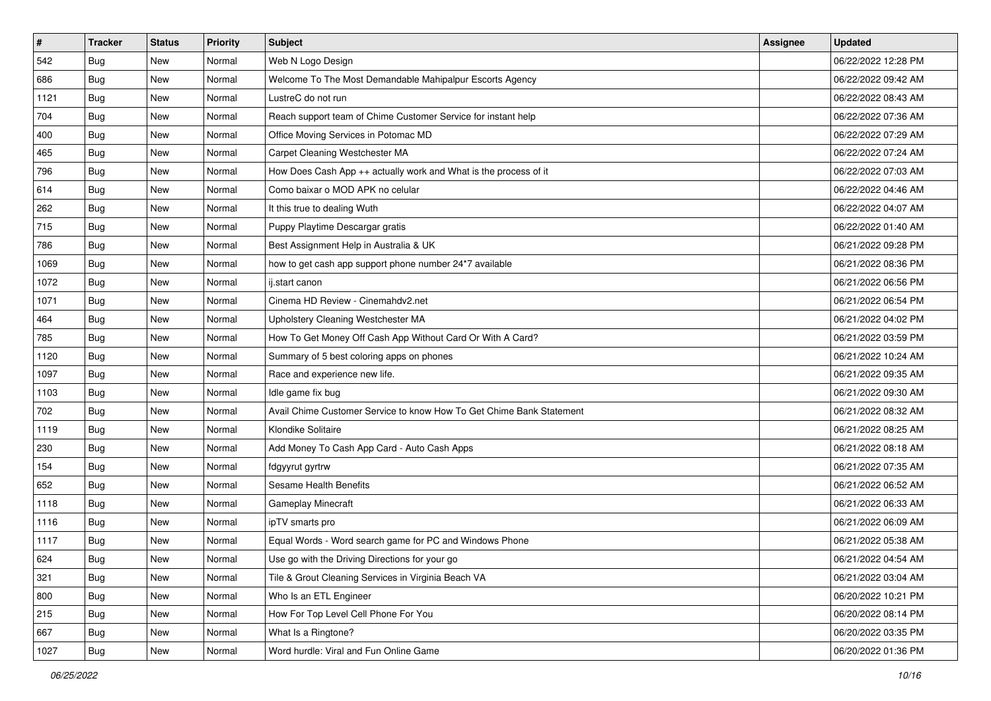| #    | <b>Tracker</b> | <b>Status</b> | <b>Priority</b> | <b>Subject</b>                                                       | <b>Assignee</b> | <b>Updated</b>      |
|------|----------------|---------------|-----------------|----------------------------------------------------------------------|-----------------|---------------------|
| 542  | <b>Bug</b>     | New           | Normal          | Web N Logo Design                                                    |                 | 06/22/2022 12:28 PM |
| 686  | Bug            | New           | Normal          | Welcome To The Most Demandable Mahipalpur Escorts Agency             |                 | 06/22/2022 09:42 AM |
| 1121 | <b>Bug</b>     | New           | Normal          | LustreC do not run                                                   |                 | 06/22/2022 08:43 AM |
| 704  | <b>Bug</b>     | New           | Normal          | Reach support team of Chime Customer Service for instant help        |                 | 06/22/2022 07:36 AM |
| 400  | Bug            | New           | Normal          | Office Moving Services in Potomac MD                                 |                 | 06/22/2022 07:29 AM |
| 465  | <b>Bug</b>     | New           | Normal          | Carpet Cleaning Westchester MA                                       |                 | 06/22/2022 07:24 AM |
| 796  | <b>Bug</b>     | New           | Normal          | How Does Cash App ++ actually work and What is the process of it     |                 | 06/22/2022 07:03 AM |
| 614  | Bug            | New           | Normal          | Como baixar o MOD APK no celular                                     |                 | 06/22/2022 04:46 AM |
| 262  | Bug            | New           | Normal          | It this true to dealing Wuth                                         |                 | 06/22/2022 04:07 AM |
| 715  | Bug            | New           | Normal          | Puppy Playtime Descargar gratis                                      |                 | 06/22/2022 01:40 AM |
| 786  | Bug            | New           | Normal          | Best Assignment Help in Australia & UK                               |                 | 06/21/2022 09:28 PM |
| 1069 | <b>Bug</b>     | New           | Normal          | how to get cash app support phone number 24*7 available              |                 | 06/21/2022 08:36 PM |
| 1072 | Bug            | <b>New</b>    | Normal          | ij.start canon                                                       |                 | 06/21/2022 06:56 PM |
| 1071 | <b>Bug</b>     | New           | Normal          | Cinema HD Review - Cinemahdv2.net                                    |                 | 06/21/2022 06:54 PM |
| 464  | Bug            | New           | Normal          | Upholstery Cleaning Westchester MA                                   |                 | 06/21/2022 04:02 PM |
| 785  | Bug            | New           | Normal          | How To Get Money Off Cash App Without Card Or With A Card?           |                 | 06/21/2022 03:59 PM |
| 1120 | <b>Bug</b>     | New           | Normal          | Summary of 5 best coloring apps on phones                            |                 | 06/21/2022 10:24 AM |
| 1097 | Bug            | <b>New</b>    | Normal          | Race and experience new life.                                        |                 | 06/21/2022 09:35 AM |
| 1103 | <b>Bug</b>     | New           | Normal          | Idle game fix bug                                                    |                 | 06/21/2022 09:30 AM |
| 702  | Bug            | New           | Normal          | Avail Chime Customer Service to know How To Get Chime Bank Statement |                 | 06/21/2022 08:32 AM |
| 1119 | Bug            | New           | Normal          | Klondike Solitaire                                                   |                 | 06/21/2022 08:25 AM |
| 230  | <b>Bug</b>     | New           | Normal          | Add Money To Cash App Card - Auto Cash Apps                          |                 | 06/21/2022 08:18 AM |
| 154  | Bug            | New           | Normal          | fdgyyrut gyrtrw                                                      |                 | 06/21/2022 07:35 AM |
| 652  | <b>Bug</b>     | New           | Normal          | Sesame Health Benefits                                               |                 | 06/21/2022 06:52 AM |
| 1118 | <b>Bug</b>     | New           | Normal          | Gameplay Minecraft                                                   |                 | 06/21/2022 06:33 AM |
| 1116 | Bug            | New           | Normal          | ipTV smarts pro                                                      |                 | 06/21/2022 06:09 AM |
| 1117 | Bug            | New           | Normal          | Equal Words - Word search game for PC and Windows Phone              |                 | 06/21/2022 05:38 AM |
| 624  | Bug            | New           | Normal          | Use go with the Driving Directions for your go                       |                 | 06/21/2022 04:54 AM |
| 321  | Bug            | New           | Normal          | Tile & Grout Cleaning Services in Virginia Beach VA                  |                 | 06/21/2022 03:04 AM |
| 800  | <b>Bug</b>     | New           | Normal          | Who Is an ETL Engineer                                               |                 | 06/20/2022 10:21 PM |
| 215  | <b>Bug</b>     | New           | Normal          | How For Top Level Cell Phone For You                                 |                 | 06/20/2022 08:14 PM |
| 667  | <b>Bug</b>     | New           | Normal          | What Is a Ringtone?                                                  |                 | 06/20/2022 03:35 PM |
| 1027 | <b>Bug</b>     | New           | Normal          | Word hurdle: Viral and Fun Online Game                               |                 | 06/20/2022 01:36 PM |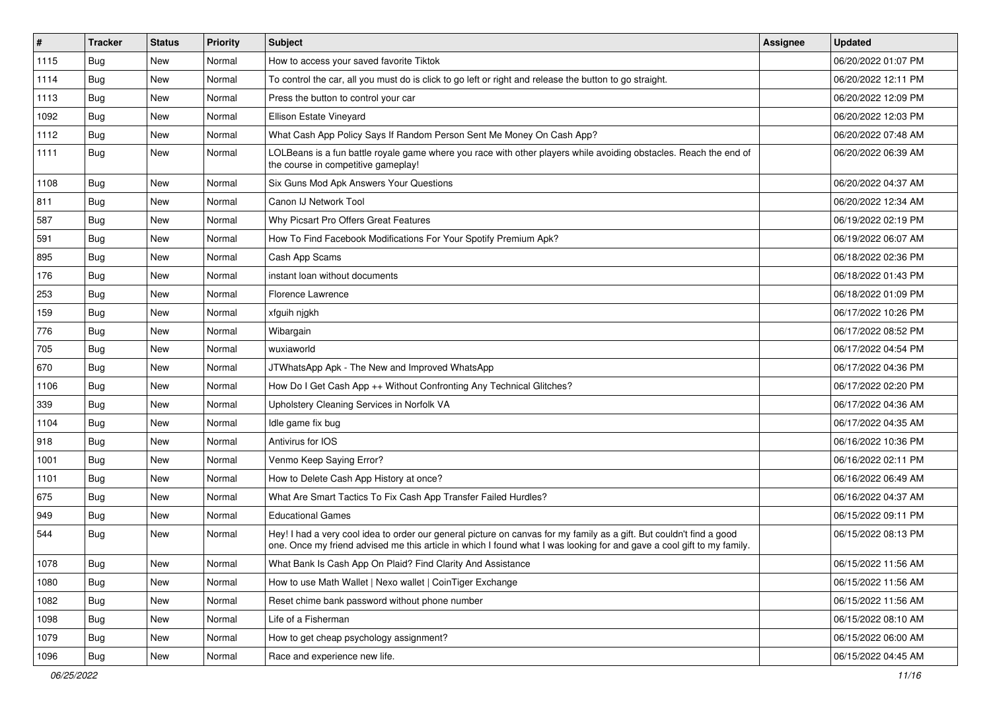| $\vert$ # | <b>Tracker</b> | <b>Status</b> | <b>Priority</b> | <b>Subject</b>                                                                                                                                                                                                                                 | Assignee | <b>Updated</b>      |
|-----------|----------------|---------------|-----------------|------------------------------------------------------------------------------------------------------------------------------------------------------------------------------------------------------------------------------------------------|----------|---------------------|
| 1115      | <b>Bug</b>     | New           | Normal          | How to access your saved favorite Tiktok                                                                                                                                                                                                       |          | 06/20/2022 01:07 PM |
| 1114      | <b>Bug</b>     | New           | Normal          | To control the car, all you must do is click to go left or right and release the button to go straight.                                                                                                                                        |          | 06/20/2022 12:11 PM |
| 1113      | Bug            | New           | Normal          | Press the button to control your car                                                                                                                                                                                                           |          | 06/20/2022 12:09 PM |
| 1092      | Bug            | New           | Normal          | Ellison Estate Vineyard                                                                                                                                                                                                                        |          | 06/20/2022 12:03 PM |
| 1112      | Bug            | New           | Normal          | What Cash App Policy Says If Random Person Sent Me Money On Cash App?                                                                                                                                                                          |          | 06/20/2022 07:48 AM |
| 1111      | Bug            | New           | Normal          | LOLBeans is a fun battle royale game where you race with other players while avoiding obstacles. Reach the end of<br>the course in competitive gameplay!                                                                                       |          | 06/20/2022 06:39 AM |
| 1108      | Bug            | New           | Normal          | Six Guns Mod Apk Answers Your Questions                                                                                                                                                                                                        |          | 06/20/2022 04:37 AM |
| 811       | Bug            | New           | Normal          | Canon IJ Network Tool                                                                                                                                                                                                                          |          | 06/20/2022 12:34 AM |
| 587       | <b>Bug</b>     | New           | Normal          | Why Picsart Pro Offers Great Features                                                                                                                                                                                                          |          | 06/19/2022 02:19 PM |
| 591       | Bug            | New           | Normal          | How To Find Facebook Modifications For Your Spotify Premium Apk?                                                                                                                                                                               |          | 06/19/2022 06:07 AM |
| 895       | Bug            | New           | Normal          | Cash App Scams                                                                                                                                                                                                                                 |          | 06/18/2022 02:36 PM |
| 176       | Bug            | New           | Normal          | instant loan without documents                                                                                                                                                                                                                 |          | 06/18/2022 01:43 PM |
| 253       | <b>Bug</b>     | New           | Normal          | Florence Lawrence                                                                                                                                                                                                                              |          | 06/18/2022 01:09 PM |
| 159       | Bug            | New           | Normal          | xfguih njgkh                                                                                                                                                                                                                                   |          | 06/17/2022 10:26 PM |
| 776       | <b>Bug</b>     | <b>New</b>    | Normal          | Wibargain                                                                                                                                                                                                                                      |          | 06/17/2022 08:52 PM |
| 705       | Bug            | New           | Normal          | wuxiaworld                                                                                                                                                                                                                                     |          | 06/17/2022 04:54 PM |
| 670       | Bug            | New           | Normal          | JTWhatsApp Apk - The New and Improved WhatsApp                                                                                                                                                                                                 |          | 06/17/2022 04:36 PM |
| 1106      | Bug            | New           | Normal          | How Do I Get Cash App ++ Without Confronting Any Technical Glitches?                                                                                                                                                                           |          | 06/17/2022 02:20 PM |
| 339       | <b>Bug</b>     | New           | Normal          | Upholstery Cleaning Services in Norfolk VA                                                                                                                                                                                                     |          | 06/17/2022 04:36 AM |
| 1104      | Bug            | New           | Normal          | Idle game fix bug                                                                                                                                                                                                                              |          | 06/17/2022 04:35 AM |
| 918       | Bug            | New           | Normal          | Antivirus for IOS                                                                                                                                                                                                                              |          | 06/16/2022 10:36 PM |
| 1001      | <b>Bug</b>     | New           | Normal          | Venmo Keep Saying Error?                                                                                                                                                                                                                       |          | 06/16/2022 02:11 PM |
| 1101      | Bug            | New           | Normal          | How to Delete Cash App History at once?                                                                                                                                                                                                        |          | 06/16/2022 06:49 AM |
| 675       | <b>Bug</b>     | New           | Normal          | What Are Smart Tactics To Fix Cash App Transfer Failed Hurdles?                                                                                                                                                                                |          | 06/16/2022 04:37 AM |
| 949       | Bug            | New           | Normal          | <b>Educational Games</b>                                                                                                                                                                                                                       |          | 06/15/2022 09:11 PM |
| 544       | <b>Bug</b>     | New           | Normal          | Hey! I had a very cool idea to order our general picture on canvas for my family as a gift. But couldn't find a good<br>one. Once my friend advised me this article in which I found what I was looking for and gave a cool gift to my family. |          | 06/15/2022 08:13 PM |
| 1078      | <b>Bug</b>     | New           | Normal          | What Bank Is Cash App On Plaid? Find Clarity And Assistance                                                                                                                                                                                    |          | 06/15/2022 11:56 AM |
| 1080      | Bug            | New           | Normal          | How to use Math Wallet   Nexo wallet   CoinTiger Exchange                                                                                                                                                                                      |          | 06/15/2022 11:56 AM |
| 1082      | <b>Bug</b>     | New           | Normal          | Reset chime bank password without phone number                                                                                                                                                                                                 |          | 06/15/2022 11:56 AM |
| 1098      | Bug            | New           | Normal          | Life of a Fisherman                                                                                                                                                                                                                            |          | 06/15/2022 08:10 AM |
| 1079      | <b>Bug</b>     | New           | Normal          | How to get cheap psychology assignment?                                                                                                                                                                                                        |          | 06/15/2022 06:00 AM |
| 1096      | <b>Bug</b>     | New           | Normal          | Race and experience new life.                                                                                                                                                                                                                  |          | 06/15/2022 04:45 AM |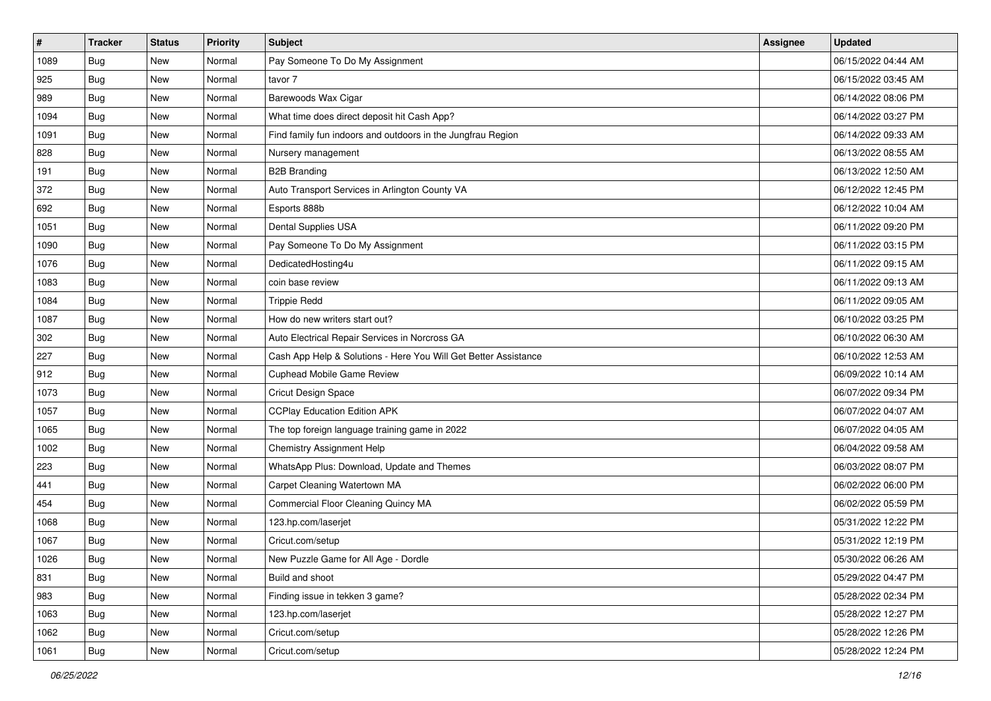| $\sharp$ | <b>Tracker</b> | <b>Status</b> | Priority | <b>Subject</b>                                                  | Assignee | <b>Updated</b>      |
|----------|----------------|---------------|----------|-----------------------------------------------------------------|----------|---------------------|
| 1089     | <b>Bug</b>     | New           | Normal   | Pay Someone To Do My Assignment                                 |          | 06/15/2022 04:44 AM |
| 925      | Bug            | New           | Normal   | tavor 7                                                         |          | 06/15/2022 03:45 AM |
| 989      | Bug            | New           | Normal   | Barewoods Wax Cigar                                             |          | 06/14/2022 08:06 PM |
| 1094     | <b>Bug</b>     | New           | Normal   | What time does direct deposit hit Cash App?                     |          | 06/14/2022 03:27 PM |
| 1091     | Bug            | New           | Normal   | Find family fun indoors and outdoors in the Jungfrau Region     |          | 06/14/2022 09:33 AM |
| 828      | <b>Bug</b>     | New           | Normal   | Nursery management                                              |          | 06/13/2022 08:55 AM |
| 191      | Bug            | New           | Normal   | <b>B2B Branding</b>                                             |          | 06/13/2022 12:50 AM |
| 372      | <b>Bug</b>     | New           | Normal   | Auto Transport Services in Arlington County VA                  |          | 06/12/2022 12:45 PM |
| 692      | Bug            | New           | Normal   | Esports 888b                                                    |          | 06/12/2022 10:04 AM |
| 1051     | Bug            | New           | Normal   | Dental Supplies USA                                             |          | 06/11/2022 09:20 PM |
| 1090     | <b>Bug</b>     | New           | Normal   | Pay Someone To Do My Assignment                                 |          | 06/11/2022 03:15 PM |
| 1076     | <b>Bug</b>     | New           | Normal   | DedicatedHosting4u                                              |          | 06/11/2022 09:15 AM |
| 1083     | Bug            | New           | Normal   | coin base review                                                |          | 06/11/2022 09:13 AM |
| 1084     | <b>Bug</b>     | New           | Normal   | <b>Trippie Redd</b>                                             |          | 06/11/2022 09:05 AM |
| 1087     | <b>Bug</b>     | New           | Normal   | How do new writers start out?                                   |          | 06/10/2022 03:25 PM |
| 302      | Bug            | New           | Normal   | Auto Electrical Repair Services in Norcross GA                  |          | 06/10/2022 06:30 AM |
| 227      | <b>Bug</b>     | New           | Normal   | Cash App Help & Solutions - Here You Will Get Better Assistance |          | 06/10/2022 12:53 AM |
| 912      | Bug            | New           | Normal   | Cuphead Mobile Game Review                                      |          | 06/09/2022 10:14 AM |
| 1073     | <b>Bug</b>     | New           | Normal   | Cricut Design Space                                             |          | 06/07/2022 09:34 PM |
| 1057     | Bug            | New           | Normal   | <b>CCPlay Education Edition APK</b>                             |          | 06/07/2022 04:07 AM |
| 1065     | <b>Bug</b>     | New           | Normal   | The top foreign language training game in 2022                  |          | 06/07/2022 04:05 AM |
| 1002     | Bug            | New           | Normal   | Chemistry Assignment Help                                       |          | 06/04/2022 09:58 AM |
| 223      | Bug            | New           | Normal   | WhatsApp Plus: Download, Update and Themes                      |          | 06/03/2022 08:07 PM |
| 441      | <b>Bug</b>     | New           | Normal   | Carpet Cleaning Watertown MA                                    |          | 06/02/2022 06:00 PM |
| 454      | Bug            | New           | Normal   | Commercial Floor Cleaning Quincy MA                             |          | 06/02/2022 05:59 PM |
| 1068     | Bug            | New           | Normal   | 123.hp.com/laserjet                                             |          | 05/31/2022 12:22 PM |
| 1067     | <b>Bug</b>     | New           | Normal   | Cricut.com/setup                                                |          | 05/31/2022 12:19 PM |
| 1026     | <b>Bug</b>     | New           | Normal   | New Puzzle Game for All Age - Dordle                            |          | 05/30/2022 06:26 AM |
| 831      | <b>Bug</b>     | New           | Normal   | Build and shoot                                                 |          | 05/29/2022 04:47 PM |
| 983      | <b>Bug</b>     | New           | Normal   | Finding issue in tekken 3 game?                                 |          | 05/28/2022 02:34 PM |
| 1063     | Bug            | New           | Normal   | 123.hp.com/laserjet                                             |          | 05/28/2022 12:27 PM |
| 1062     | <b>Bug</b>     | New           | Normal   | Cricut.com/setup                                                |          | 05/28/2022 12:26 PM |
| 1061     | <b>Bug</b>     | New           | Normal   | Cricut.com/setup                                                |          | 05/28/2022 12:24 PM |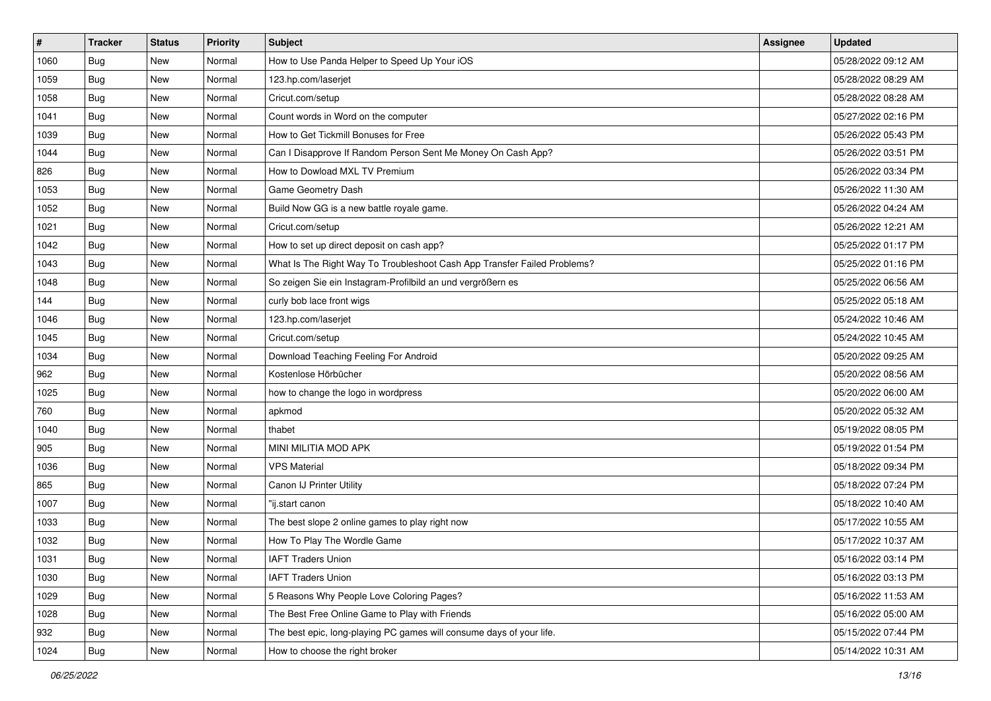| $\vert$ # | <b>Tracker</b> | <b>Status</b> | <b>Priority</b> | <b>Subject</b>                                                           | Assignee | <b>Updated</b>      |
|-----------|----------------|---------------|-----------------|--------------------------------------------------------------------------|----------|---------------------|
| 1060      | <b>Bug</b>     | New           | Normal          | How to Use Panda Helper to Speed Up Your iOS                             |          | 05/28/2022 09:12 AM |
| 1059      | Bug            | New           | Normal          | 123.hp.com/laserjet                                                      |          | 05/28/2022 08:29 AM |
| 1058      | Bug            | New           | Normal          | Cricut.com/setup                                                         |          | 05/28/2022 08:28 AM |
| 1041      | <b>Bug</b>     | New           | Normal          | Count words in Word on the computer                                      |          | 05/27/2022 02:16 PM |
| 1039      | Bug            | <b>New</b>    | Normal          | How to Get Tickmill Bonuses for Free                                     |          | 05/26/2022 05:43 PM |
| 1044      | <b>Bug</b>     | New           | Normal          | Can I Disapprove If Random Person Sent Me Money On Cash App?             |          | 05/26/2022 03:51 PM |
| 826       | <b>Bug</b>     | New           | Normal          | How to Dowload MXL TV Premium                                            |          | 05/26/2022 03:34 PM |
| 1053      | Bug            | New           | Normal          | Game Geometry Dash                                                       |          | 05/26/2022 11:30 AM |
| 1052      | <b>Bug</b>     | New           | Normal          | Build Now GG is a new battle royale game.                                |          | 05/26/2022 04:24 AM |
| 1021      | Bug            | New           | Normal          | Cricut.com/setup                                                         |          | 05/26/2022 12:21 AM |
| 1042      | <b>Bug</b>     | New           | Normal          | How to set up direct deposit on cash app?                                |          | 05/25/2022 01:17 PM |
| 1043      | <b>Bug</b>     | New           | Normal          | What Is The Right Way To Troubleshoot Cash App Transfer Failed Problems? |          | 05/25/2022 01:16 PM |
| 1048      | Bug            | New           | Normal          | So zeigen Sie ein Instagram-Profilbild an und vergrößern es              |          | 05/25/2022 06:56 AM |
| 144       | <b>Bug</b>     | New           | Normal          | curly bob lace front wigs                                                |          | 05/25/2022 05:18 AM |
| 1046      | Bug            | New           | Normal          | 123.hp.com/laserjet                                                      |          | 05/24/2022 10:46 AM |
| 1045      | <b>Bug</b>     | New           | Normal          | Cricut.com/setup                                                         |          | 05/24/2022 10:45 AM |
| 1034      | <b>Bug</b>     | New           | Normal          | Download Teaching Feeling For Android                                    |          | 05/20/2022 09:25 AM |
| 962       | <b>Bug</b>     | New           | Normal          | Kostenlose Hörbücher                                                     |          | 05/20/2022 08:56 AM |
| 1025      | Bug            | New           | Normal          | how to change the logo in wordpress                                      |          | 05/20/2022 06:00 AM |
| 760       | <b>Bug</b>     | New           | Normal          | apkmod                                                                   |          | 05/20/2022 05:32 AM |
| 1040      | <b>Bug</b>     | New           | Normal          | thabet                                                                   |          | 05/19/2022 08:05 PM |
| 905       | <b>Bug</b>     | New           | Normal          | MINI MILITIA MOD APK                                                     |          | 05/19/2022 01:54 PM |
| 1036      | Bug            | <b>New</b>    | Normal          | <b>VPS Material</b>                                                      |          | 05/18/2022 09:34 PM |
| 865       | Bug            | New           | Normal          | Canon IJ Printer Utility                                                 |          | 05/18/2022 07:24 PM |
| 1007      | Bug            | New           | Normal          | "ij.start canon                                                          |          | 05/18/2022 10:40 AM |
| 1033      | Bug            | New           | Normal          | The best slope 2 online games to play right now                          |          | 05/17/2022 10:55 AM |
| 1032      | <b>Bug</b>     | New           | Normal          | How To Play The Wordle Game                                              |          | 05/17/2022 10:37 AM |
| 1031      | Bug            | New           | Normal          | <b>IAFT Traders Union</b>                                                |          | 05/16/2022 03:14 PM |
| 1030      | <b>Bug</b>     | New           | Normal          | <b>IAFT Traders Union</b>                                                |          | 05/16/2022 03:13 PM |
| 1029      | <b>Bug</b>     | New           | Normal          | 5 Reasons Why People Love Coloring Pages?                                |          | 05/16/2022 11:53 AM |
| 1028      | Bug            | New           | Normal          | The Best Free Online Game to Play with Friends                           |          | 05/16/2022 05:00 AM |
| 932       | <b>Bug</b>     | New           | Normal          | The best epic, long-playing PC games will consume days of your life.     |          | 05/15/2022 07:44 PM |
| 1024      | <b>Bug</b>     | New           | Normal          | How to choose the right broker                                           |          | 05/14/2022 10:31 AM |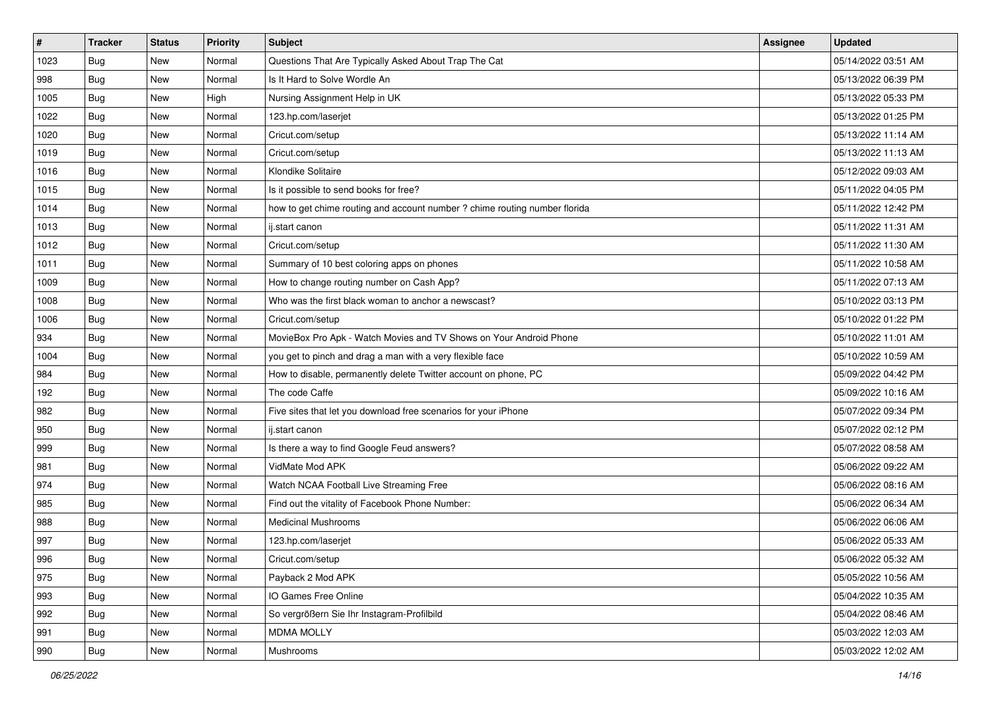| $\sharp$ | <b>Tracker</b> | <b>Status</b> | Priority | Subject                                                                    | <b>Assignee</b> | <b>Updated</b>      |
|----------|----------------|---------------|----------|----------------------------------------------------------------------------|-----------------|---------------------|
| 1023     | <b>Bug</b>     | New           | Normal   | Questions That Are Typically Asked About Trap The Cat                      |                 | 05/14/2022 03:51 AM |
| 998      | Bug            | New           | Normal   | Is It Hard to Solve Wordle An                                              |                 | 05/13/2022 06:39 PM |
| 1005     | Bug            | New           | High     | Nursing Assignment Help in UK                                              |                 | 05/13/2022 05:33 PM |
| 1022     | Bug            | New           | Normal   | 123.hp.com/laserjet                                                        |                 | 05/13/2022 01:25 PM |
| 1020     | Bug            | New           | Normal   | Cricut.com/setup                                                           |                 | 05/13/2022 11:14 AM |
| 1019     | Bug            | New           | Normal   | Cricut.com/setup                                                           |                 | 05/13/2022 11:13 AM |
| 1016     | Bug            | New           | Normal   | Klondike Solitaire                                                         |                 | 05/12/2022 09:03 AM |
| 1015     | Bug            | New           | Normal   | Is it possible to send books for free?                                     |                 | 05/11/2022 04:05 PM |
| 1014     | Bug            | New           | Normal   | how to get chime routing and account number ? chime routing number florida |                 | 05/11/2022 12:42 PM |
| 1013     | Bug            | New           | Normal   | ij.start canon                                                             |                 | 05/11/2022 11:31 AM |
| 1012     | Bug            | New           | Normal   | Cricut.com/setup                                                           |                 | 05/11/2022 11:30 AM |
| 1011     | Bug            | New           | Normal   | Summary of 10 best coloring apps on phones                                 |                 | 05/11/2022 10:58 AM |
| 1009     | Bug            | New           | Normal   | How to change routing number on Cash App?                                  |                 | 05/11/2022 07:13 AM |
| 1008     | Bug            | New           | Normal   | Who was the first black woman to anchor a newscast?                        |                 | 05/10/2022 03:13 PM |
| 1006     | Bug            | New           | Normal   | Cricut.com/setup                                                           |                 | 05/10/2022 01:22 PM |
| 934      | Bug            | New           | Normal   | MovieBox Pro Apk - Watch Movies and TV Shows on Your Android Phone         |                 | 05/10/2022 11:01 AM |
| 1004     | Bug            | New           | Normal   | you get to pinch and drag a man with a very flexible face                  |                 | 05/10/2022 10:59 AM |
| 984      | Bug            | New           | Normal   | How to disable, permanently delete Twitter account on phone, PC            |                 | 05/09/2022 04:42 PM |
| 192      | Bug            | New           | Normal   | The code Caffe                                                             |                 | 05/09/2022 10:16 AM |
| 982      | Bug            | New           | Normal   | Five sites that let you download free scenarios for your iPhone            |                 | 05/07/2022 09:34 PM |
| 950      | Bug            | New           | Normal   | ij.start canon                                                             |                 | 05/07/2022 02:12 PM |
| 999      | Bug            | New           | Normal   | Is there a way to find Google Feud answers?                                |                 | 05/07/2022 08:58 AM |
| 981      | Bug            | New           | Normal   | VidMate Mod APK                                                            |                 | 05/06/2022 09:22 AM |
| 974      | <b>Bug</b>     | New           | Normal   | Watch NCAA Football Live Streaming Free                                    |                 | 05/06/2022 08:16 AM |
| 985      | Bug            | New           | Normal   | Find out the vitality of Facebook Phone Number:                            |                 | 05/06/2022 06:34 AM |
| 988      | Bug            | New           | Normal   | <b>Medicinal Mushrooms</b>                                                 |                 | 05/06/2022 06:06 AM |
| 997      | <b>Bug</b>     | New           | Normal   | 123.hp.com/laserjet                                                        |                 | 05/06/2022 05:33 AM |
| 996      | <b>Bug</b>     | New           | Normal   | Cricut.com/setup                                                           |                 | 05/06/2022 05:32 AM |
| 975      | <b>Bug</b>     | New           | Normal   | Payback 2 Mod APK                                                          |                 | 05/05/2022 10:56 AM |
| 993      | <b>Bug</b>     | New           | Normal   | IO Games Free Online                                                       |                 | 05/04/2022 10:35 AM |
| 992      | Bug            | New           | Normal   | So vergrößern Sie Ihr Instagram-Profilbild                                 |                 | 05/04/2022 08:46 AM |
| 991      | Bug            | New           | Normal   | <b>MDMA MOLLY</b>                                                          |                 | 05/03/2022 12:03 AM |
| 990      | <b>Bug</b>     | New           | Normal   | Mushrooms                                                                  |                 | 05/03/2022 12:02 AM |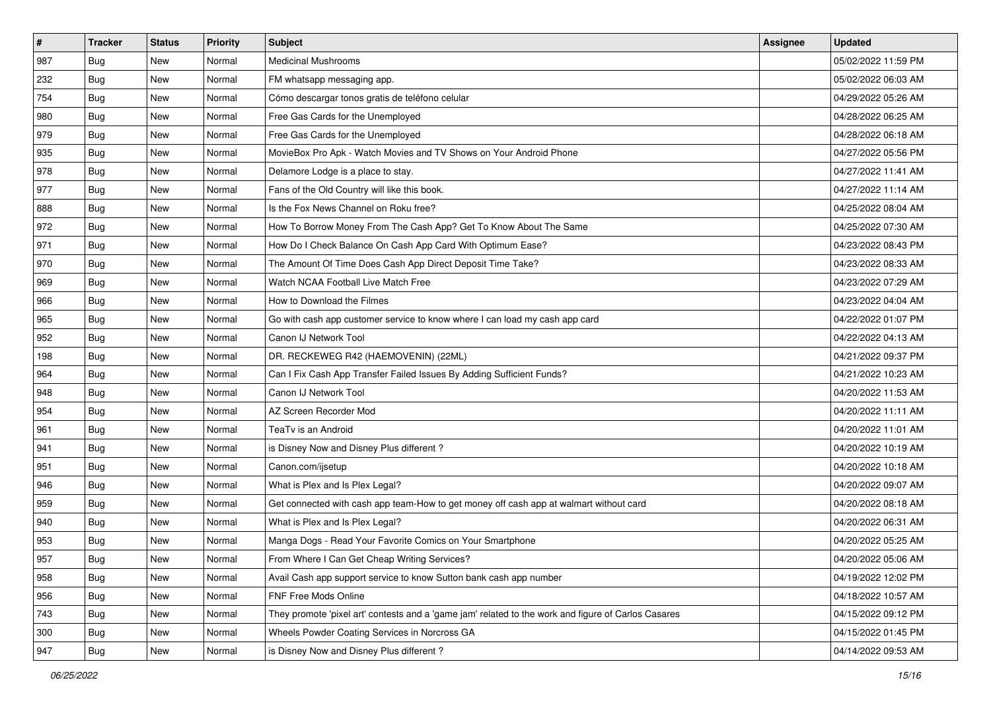| $\vert$ # | <b>Tracker</b> | <b>Status</b> | Priority | Subject                                                                                             | Assignee | <b>Updated</b>      |
|-----------|----------------|---------------|----------|-----------------------------------------------------------------------------------------------------|----------|---------------------|
| 987       | <b>Bug</b>     | New           | Normal   | <b>Medicinal Mushrooms</b>                                                                          |          | 05/02/2022 11:59 PM |
| 232       | Bug            | New           | Normal   | FM whatsapp messaging app.                                                                          |          | 05/02/2022 06:03 AM |
| 754       | Bug            | New           | Normal   | Cómo descargar tonos gratis de teléfono celular                                                     |          | 04/29/2022 05:26 AM |
| 980       | <b>Bug</b>     | New           | Normal   | Free Gas Cards for the Unemployed                                                                   |          | 04/28/2022 06:25 AM |
| 979       | Bug            | <b>New</b>    | Normal   | Free Gas Cards for the Unemployed                                                                   |          | 04/28/2022 06:18 AM |
| 935       | <b>Bug</b>     | New           | Normal   | MovieBox Pro Apk - Watch Movies and TV Shows on Your Android Phone                                  |          | 04/27/2022 05:56 PM |
| 978       | Bug            | New           | Normal   | Delamore Lodge is a place to stay.                                                                  |          | 04/27/2022 11:41 AM |
| 977       | <b>Bug</b>     | New           | Normal   | Fans of the Old Country will like this book.                                                        |          | 04/27/2022 11:14 AM |
| 888       | <b>Bug</b>     | New           | Normal   | Is the Fox News Channel on Roku free?                                                               |          | 04/25/2022 08:04 AM |
| 972       | Bug            | <b>New</b>    | Normal   | How To Borrow Money From The Cash App? Get To Know About The Same                                   |          | 04/25/2022 07:30 AM |
| 971       | <b>Bug</b>     | New           | Normal   | How Do I Check Balance On Cash App Card With Optimum Ease?                                          |          | 04/23/2022 08:43 PM |
| 970       | Bug            | New           | Normal   | The Amount Of Time Does Cash App Direct Deposit Time Take?                                          |          | 04/23/2022 08:33 AM |
| 969       | Bug            | <b>New</b>    | Normal   | Watch NCAA Football Live Match Free                                                                 |          | 04/23/2022 07:29 AM |
| 966       | Bug            | New           | Normal   | How to Download the Filmes                                                                          |          | 04/23/2022 04:04 AM |
| 965       | <b>Bug</b>     | New           | Normal   | Go with cash app customer service to know where I can load my cash app card                         |          | 04/22/2022 01:07 PM |
| 952       | Bug            | New           | Normal   | Canon IJ Network Tool                                                                               |          | 04/22/2022 04:13 AM |
| 198       | <b>Bug</b>     | New           | Normal   | DR. RECKEWEG R42 (HAEMOVENIN) (22ML)                                                                |          | 04/21/2022 09:37 PM |
| 964       | Bug            | <b>New</b>    | Normal   | Can I Fix Cash App Transfer Failed Issues By Adding Sufficient Funds?                               |          | 04/21/2022 10:23 AM |
| 948       | <b>Bug</b>     | New           | Normal   | Canon IJ Network Tool                                                                               |          | 04/20/2022 11:53 AM |
| 954       | Bug            | New           | Normal   | AZ Screen Recorder Mod                                                                              |          | 04/20/2022 11:11 AM |
| 961       | Bug            | New           | Normal   | TeaTv is an Android                                                                                 |          | 04/20/2022 11:01 AM |
| 941       | Bug            | New           | Normal   | is Disney Now and Disney Plus different?                                                            |          | 04/20/2022 10:19 AM |
| 951       | Bug            | <b>New</b>    | Normal   | Canon.com/ijsetup                                                                                   |          | 04/20/2022 10:18 AM |
| 946       | <b>Bug</b>     | New           | Normal   | What is Plex and Is Plex Legal?                                                                     |          | 04/20/2022 09:07 AM |
| 959       | Bug            | New           | Normal   | Get connected with cash app team-How to get money off cash app at walmart without card              |          | 04/20/2022 08:18 AM |
| 940       | Bug            | New           | Normal   | What is Plex and Is Plex Legal?                                                                     |          | 04/20/2022 06:31 AM |
| 953       | <b>Bug</b>     | New           | Normal   | Manga Dogs - Read Your Favorite Comics on Your Smartphone                                           |          | 04/20/2022 05:25 AM |
| 957       | <b>Bug</b>     | New           | Normal   | From Where I Can Get Cheap Writing Services?                                                        |          | 04/20/2022 05:06 AM |
| 958       | <b>Bug</b>     | New           | Normal   | Avail Cash app support service to know Sutton bank cash app number                                  |          | 04/19/2022 12:02 PM |
| 956       | <b>Bug</b>     | New           | Normal   | FNF Free Mods Online                                                                                |          | 04/18/2022 10:57 AM |
| 743       | <b>Bug</b>     | New           | Normal   | They promote 'pixel art' contests and a 'game jam' related to the work and figure of Carlos Casares |          | 04/15/2022 09:12 PM |
| 300       | <b>Bug</b>     | New           | Normal   | Wheels Powder Coating Services in Norcross GA                                                       |          | 04/15/2022 01:45 PM |
| 947       | <b>Bug</b>     | New           | Normal   | is Disney Now and Disney Plus different?                                                            |          | 04/14/2022 09:53 AM |